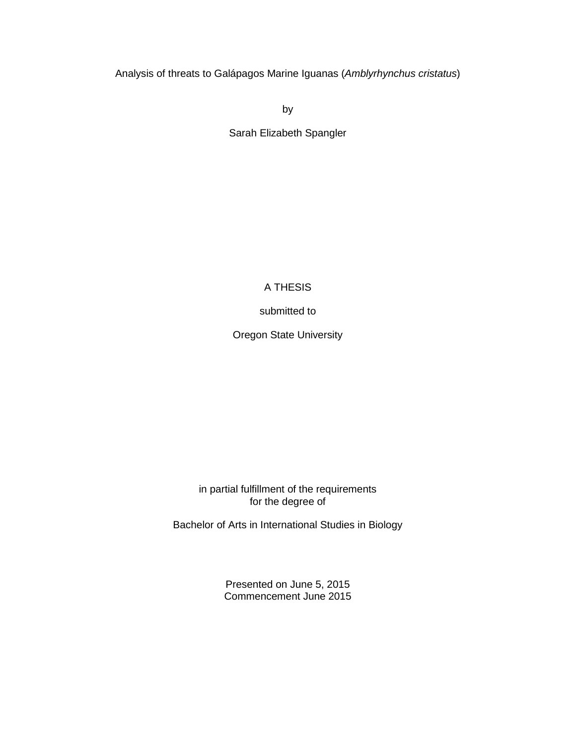Analysis of threats to Galápagos Marine Iguanas (*Amblyrhynchus cristatus*)

by

Sarah Elizabeth Spangler

## A THESIS

submitted to

Oregon State University

j in partial fulfillment of the requirements for the degree of

Bachelor of Arts in International Studies in Biology

 Presented on June 5, 2015 Commencement June 2015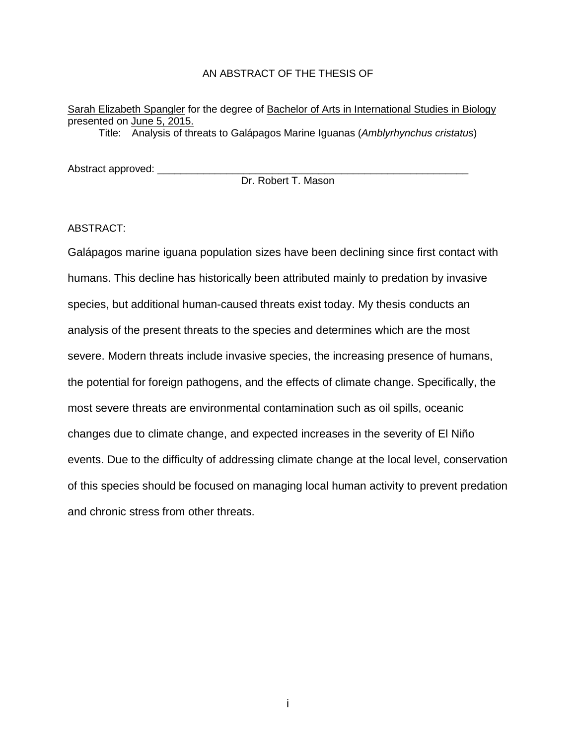#### AN ABSTRACT OF THE THESIS OF

Sarah Elizabeth Spangler for the degree of Bachelor of Arts in International Studies in Biology presented on June 5, 2015.

Title: Analysis of threats to Galápagos Marine Iguanas (*Amblyrhynchus cristatus*)

Abstract approved: \_\_\_\_\_\_\_\_\_\_\_\_\_\_\_\_\_\_\_\_\_\_\_\_\_\_\_\_\_\_\_\_\_\_\_\_\_\_\_\_\_\_\_\_\_\_\_\_\_\_\_\_\_\_

Dr. Robert T. Mason

ABSTRACT:

 Galápagos marine iguana population sizes have been declining since first contact with humans. This decline has historically been attributed mainly to predation by invasive severe. Modern threats include invasive species, the increasing presence of humans, changes due to climate change, and expected increases in the severity of El Niño events. Due to the difficulty of addressing climate change at the local level, conservation of this species should be focused on managing local human activity to prevent predation and chronic stress from other threats. species, but additional human-caused threats exist today. My thesis conducts an analysis of the present threats to the species and determines which are the most the potential for foreign pathogens, and the effects of climate change. Specifically, the most severe threats are environmental contamination such as oil spills, oceanic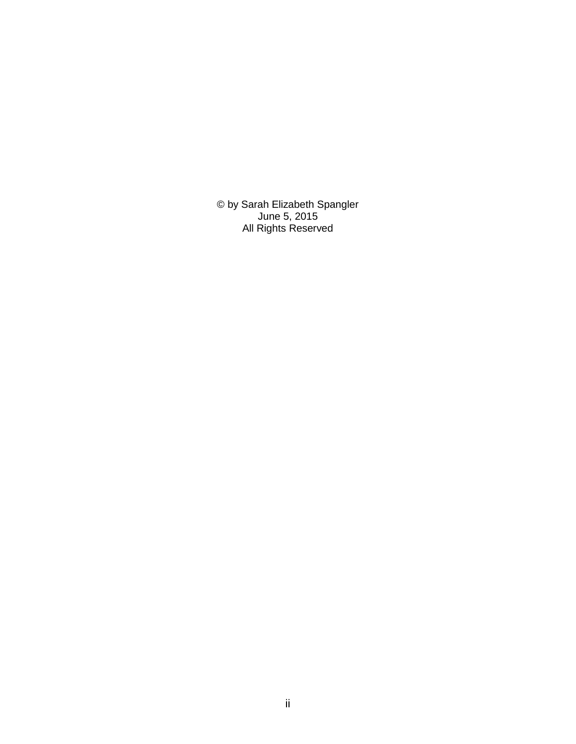© by Sarah Elizabeth Spangler June 5, 2015 All Rights Reserved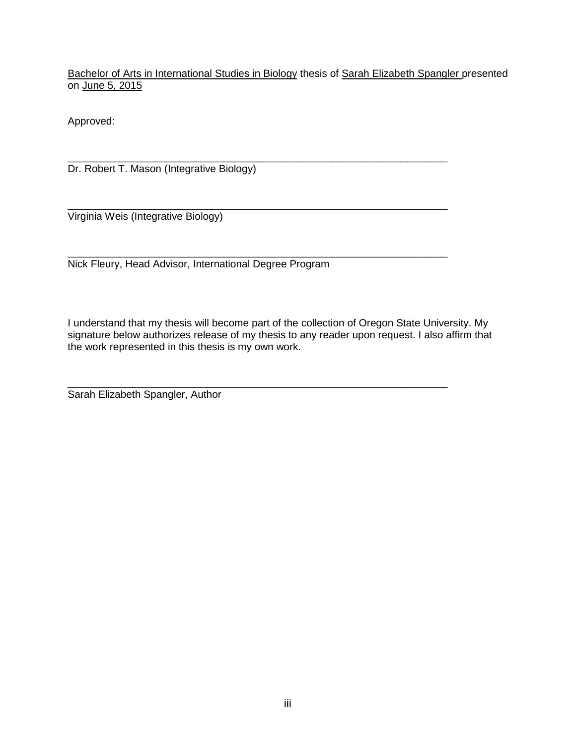Bachelor of Arts in International Studies in Biology thesis of Sarah Elizabeth Spangler presented on <u>June 5, 2015</u>

Approved:

\_\_\_\_\_\_\_\_\_\_\_\_\_\_\_\_\_\_\_\_\_\_\_\_\_\_\_\_\_\_\_\_\_\_\_\_\_\_\_\_\_\_\_\_\_\_\_\_\_\_\_\_\_\_\_\_\_\_\_\_\_\_\_\_\_\_ Dr. Robert T. Mason (Integrative Biology)

\_\_\_\_\_\_\_\_\_\_\_\_\_\_\_\_\_\_\_\_\_\_\_\_\_\_\_\_\_\_\_\_\_\_\_\_\_\_\_\_\_\_\_\_\_\_\_\_\_\_\_\_\_\_\_\_\_\_\_\_\_\_\_\_\_\_ Virginia Weis (Integrative Biology)

Nick Fleury, Head Advisor, International Degree Program

 I understand that my thesis will become part of the collection of Oregon State University. My signature below authorizes release of my thesis to any reader upon request. I also affirm that the work represented in this thesis is my own work.

\_\_\_\_\_\_\_\_\_\_\_\_\_\_\_\_\_\_\_\_\_\_\_\_\_\_\_\_\_\_\_\_\_\_\_\_\_\_\_\_\_\_\_\_\_\_\_\_\_\_\_\_\_\_\_\_\_\_\_\_\_\_\_\_\_\_

\_\_\_\_\_\_\_\_\_\_\_\_\_\_\_\_\_\_\_\_\_\_\_\_\_\_\_\_\_\_\_\_\_\_\_\_\_\_\_\_\_\_\_\_\_\_\_\_\_\_\_\_\_\_\_\_\_\_\_\_\_\_\_\_\_\_

Sarah Elizabeth Spangler, Author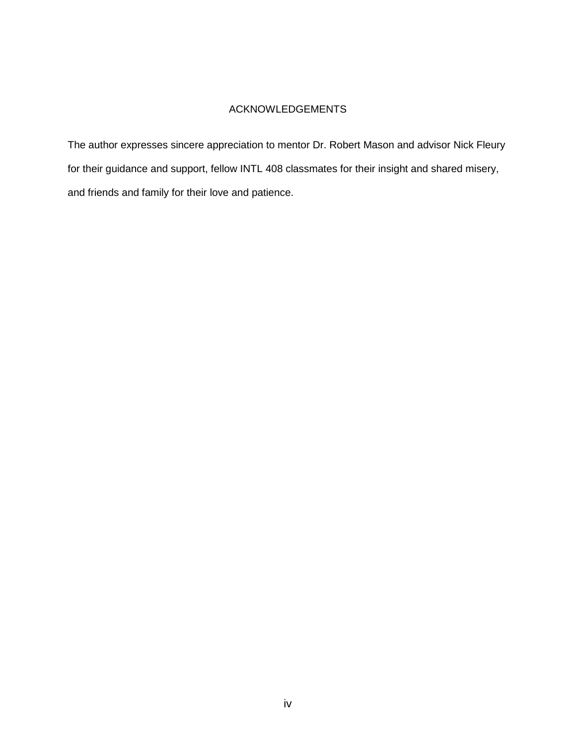## ACKNOWLEDGEMENTS

 The author expresses sincere appreciation to mentor Dr. Robert Mason and advisor Nick Fleury for their guidance and support, fellow INTL 408 classmates for their insight and shared misery, and friends and family for their love and patience.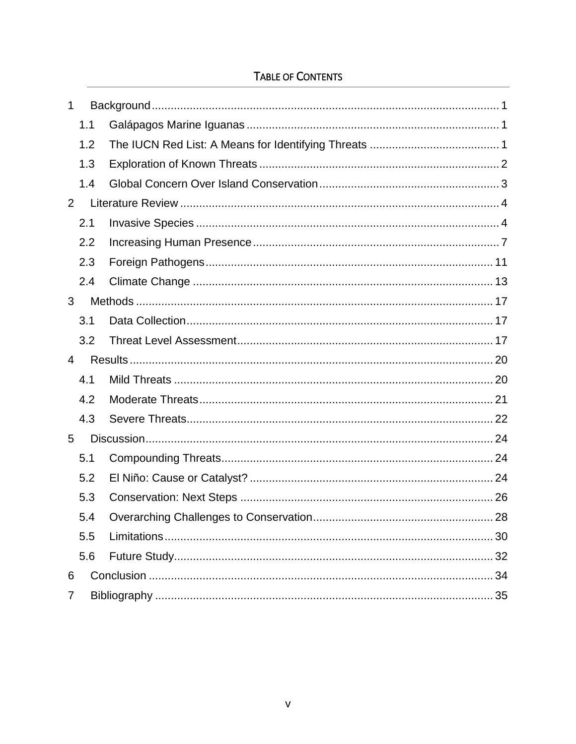# TABLE OF CONTENTS

| 1              |     |  |  |  |
|----------------|-----|--|--|--|
|                | 1.1 |  |  |  |
|                | 1.2 |  |  |  |
|                | 1.3 |  |  |  |
|                | 1.4 |  |  |  |
| $\overline{2}$ |     |  |  |  |
|                | 2.1 |  |  |  |
|                | 2.2 |  |  |  |
|                | 2.3 |  |  |  |
|                | 2.4 |  |  |  |
| 3              |     |  |  |  |
|                | 3.1 |  |  |  |
|                | 3.2 |  |  |  |
|                |     |  |  |  |
| $\overline{4}$ |     |  |  |  |
|                | 4.1 |  |  |  |
|                | 4.2 |  |  |  |
|                | 4.3 |  |  |  |
| 5              |     |  |  |  |
|                | 5.1 |  |  |  |
|                | 5.2 |  |  |  |
|                | 5.3 |  |  |  |
|                | 5.4 |  |  |  |
|                | 5.5 |  |  |  |
|                | 5.6 |  |  |  |
| 6              |     |  |  |  |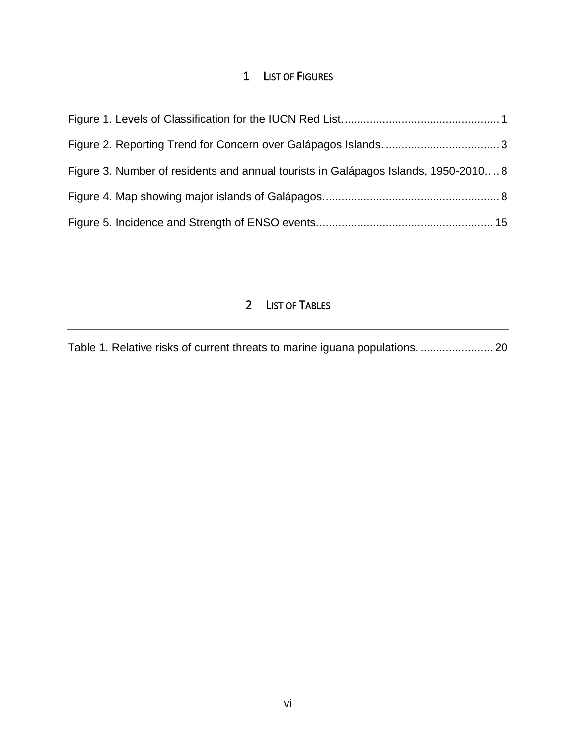## 1 LIST OF FIGURES

| Figure 3. Number of residents and annual tourists in Galápagos Islands, 1950-20108 |  |
|------------------------------------------------------------------------------------|--|
|                                                                                    |  |
|                                                                                    |  |

## 2 LIST OF TABLES

[Table 1. Relative risks of current threats to marine iguana populations. ....................... 20](#page-26-2)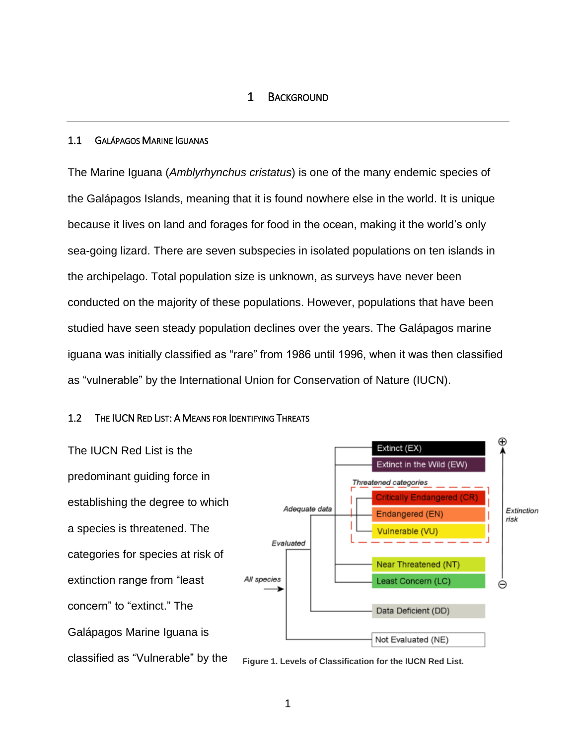## 1 BACKGROUND

#### <span id="page-7-1"></span><span id="page-7-0"></span>1.1 GALÁPAGOS MARINE IGUANAS

 The Marine Iguana (*Amblyrhynchus cristatus*) is one of the many endemic species of the Galápagos Islands, meaning that it is found nowhere else in the world. It is unique studied have seen steady population declines over the years. The Galápagos marine iguana was initially classified as "rare" from 1986 until 1996, when it was then classified as "vulnerable" by the International Union for Conservation of Nature (IUCN). because it lives on land and forages for food in the ocean, making it the world's only sea-going lizard. There are seven subspecies in isolated populations on ten islands in the archipelago. Total population size is unknown, as surveys have never been conducted on the majority of these populations. However, populations that have been

#### <span id="page-7-2"></span>1.2 THE IUCN RED LIST: A MEANS FOR IDENTIFYING THREATS

 The IUCN Red List is the categories for species at risk of concern" to "extinct." The classified as "Vulnerable" by the predominant guiding force in establishing the degree to which a species is threatened. The extinction range from "least Galápagos Marine Iguana is



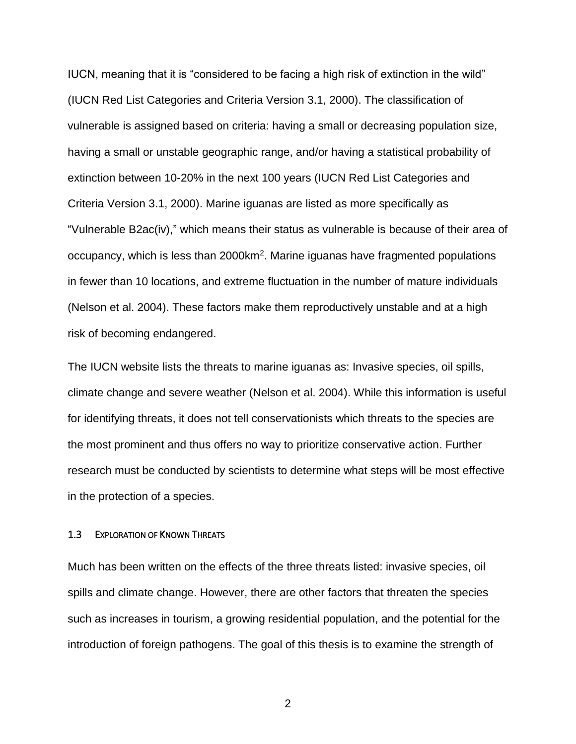(IUCN Red List Categories and Criteria Version 3.1, 2000). The classification of "Vulnerable B2ac(iv)," which means their status as vulnerable is because of their area of (Nelson et al. 2004). These factors make them reproductively unstable and at a high IUCN, meaning that it is "considered to be facing a high risk of extinction in the wild" vulnerable is assigned based on criteria: having a small or decreasing population size, having a small or unstable geographic range, and/or having a statistical probability of extinction between 10-20% in the next 100 years (IUCN Red List Categories and Criteria Version 3.1, 2000). Marine iguanas are listed as more specifically as occupancy, which is less than 2000km2. Marine iguanas have fragmented populations in fewer than 10 locations, and extreme fluctuation in the number of mature individuals risk of becoming endangered.

 climate change and severe weather (Nelson et al. 2004). While this information is useful The IUCN website lists the threats to marine iguanas as: Invasive species, oil spills, for identifying threats, it does not tell conservationists which threats to the species are the most prominent and thus offers no way to prioritize conservative action. Further research must be conducted by scientists to determine what steps will be most effective in the protection of a species.

#### <span id="page-8-0"></span>1.3 EXPLORATION OF KNOWN THREATS

 introduction of foreign pathogens. The goal of this thesis is to examine the strength of Much has been written on the effects of the three threats listed: invasive species, oil spills and climate change. However, there are other factors that threaten the species such as increases in tourism, a growing residential population, and the potential for the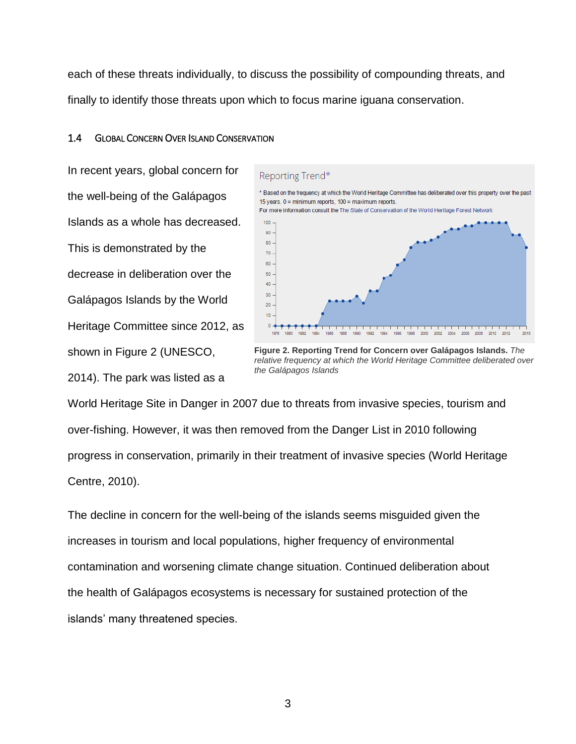each of these threats individually, to discuss the possibility of compounding threats, and finally to identify those threats upon which to focus marine iguana conservation.

## <span id="page-9-0"></span>1.4 GLOBAL CONCERN OVER ISLAND CONSERVATION

 the well-being of the Galápagos This is demonstrated by the Galápagos Islands by the World 2014). The park was listed as a In recent years, global concern for Islands as a whole has decreased. decrease in deliberation over the Heritage Committee since 2012, as shown in Figure 2 (UNESCO,



**Figure 2. Reporting Trend for Concern over Galápagos Islands.** *The relative frequency at which the World Heritage Committee deliberated over the Galápagos Islands* 

 World Heritage Site in Danger in 2007 due to threats from invasive species, tourism and over-fishing. However, it was then removed from the Danger List in 2010 following Centre, 2010). progress in conservation, primarily in their treatment of invasive species (World Heritage

 the health of Galápagos ecosystems is necessary for sustained protection of the The decline in concern for the well-being of the islands seems misguided given the increases in tourism and local populations, higher frequency of environmental contamination and worsening climate change situation. Continued deliberation about islands' many threatened species.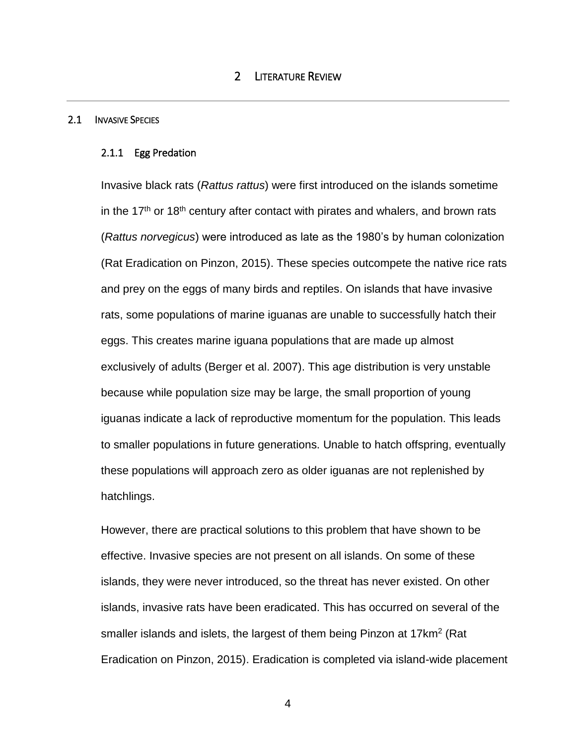#### <span id="page-10-1"></span><span id="page-10-0"></span>2.1 INVASIVE SPECIES

#### 2.1.1 Egg Predation

in the 17<sup>th</sup> or 18<sup>th</sup> century after contact with pirates and whalers, and brown rats (Rat Eradication on Pinzon, 2015). These species outcompete the native rice rats and prey on the eggs of many birds and reptiles. On islands that have invasive rats, some populations of marine iguanas are unable to successfully hatch their eggs. This creates marine iguana populations that are made up almost exclusively of adults (Berger et al. 2007). This age distribution is very unstable these populations will approach zero as older iguanas are not replenished by Invasive black rats (*Rattus rattus*) were first introduced on the islands sometime (*Rattus norvegicus*) were introduced as late as the 1980's by human colonization because while population size may be large, the small proportion of young iguanas indicate a lack of reproductive momentum for the population. This leads to smaller populations in future generations. Unable to hatch offspring, eventually hatchlings.

 effective. Invasive species are not present on all islands. On some of these islands, invasive rats have been eradicated. This has occurred on several of the smaller islands and islets, the largest of them being Pinzon at 17 $km^2$  (Rat However, there are practical solutions to this problem that have shown to be islands, they were never introduced, so the threat has never existed. On other Eradication on Pinzon, 2015). Eradication is completed via island-wide placement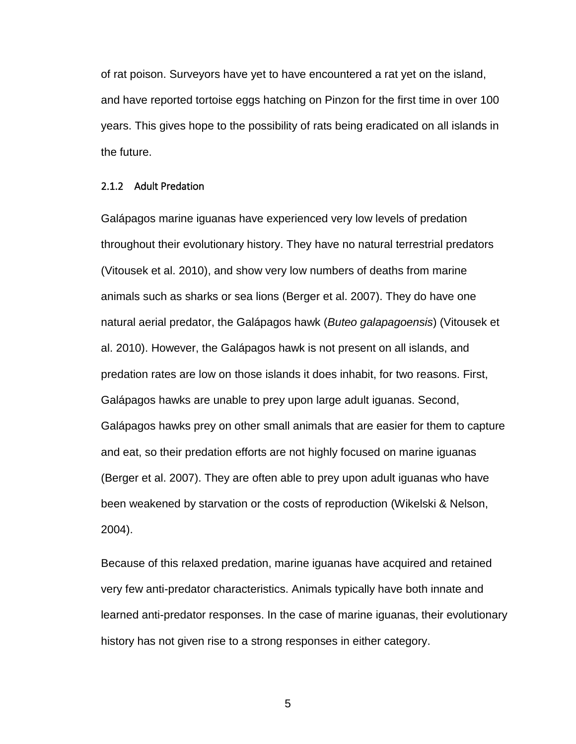and have reported tortoise eggs hatching on Pinzon for the first time in over 100 the future. of rat poison. Surveyors have yet to have encountered a rat yet on the island, years. This gives hope to the possibility of rats being eradicated on all islands in

#### 2.1.2 Adult Predation

 Galápagos marine iguanas have experienced very low levels of predation (Vitousek et al. 2010), and show very low numbers of deaths from marine natural aerial predator, the Galápagos hawk (*Buteo galapagoensis*) (Vitousek et al. 2010). However, the Galápagos hawk is not present on all islands, and predation rates are low on those islands it does inhabit, for two reasons. First, Galápagos hawks are unable to prey upon large adult iguanas. Second, Galápagos hawks prey on other small animals that are easier for them to capture and eat, so their predation efforts are not highly focused on marine iguanas (Berger et al. 2007). They are often able to prey upon adult iguanas who have been weakened by starvation or the costs of reproduction (Wikelski & Nelson, throughout their evolutionary history. They have no natural terrestrial predators animals such as sharks or sea lions (Berger et al. 2007). They do have one 2004).

 learned anti-predator responses. In the case of marine iguanas, their evolutionary Because of this relaxed predation, marine iguanas have acquired and retained very few anti-predator characteristics. Animals typically have both innate and history has not given rise to a strong responses in either category.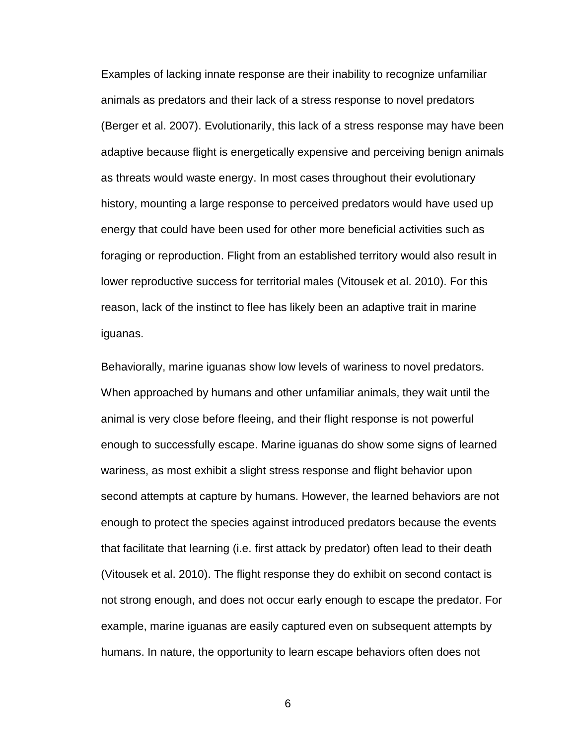reason, lack of the instinct to flee has likely been an adaptive trait in marine Examples of lacking innate response are their inability to recognize unfamiliar animals as predators and their lack of a stress response to novel predators (Berger et al. 2007). Evolutionarily, this lack of a stress response may have been adaptive because flight is energetically expensive and perceiving benign animals as threats would waste energy. In most cases throughout their evolutionary history, mounting a large response to perceived predators would have used up energy that could have been used for other more beneficial activities such as foraging or reproduction. Flight from an established territory would also result in lower reproductive success for territorial males (Vitousek et al. 2010). For this iguanas.

 animal is very close before fleeing, and their flight response is not powerful enough to successfully escape. Marine iguanas do show some signs of learned that facilitate that learning (i.e. first attack by predator) often lead to their death not strong enough, and does not occur early enough to escape the predator. For humans. In nature, the opportunity to learn escape behaviors often does not Behaviorally, marine iguanas show low levels of wariness to novel predators. When approached by humans and other unfamiliar animals, they wait until the wariness, as most exhibit a slight stress response and flight behavior upon second attempts at capture by humans. However, the learned behaviors are not enough to protect the species against introduced predators because the events (Vitousek et al. 2010). The flight response they do exhibit on second contact is example, marine iguanas are easily captured even on subsequent attempts by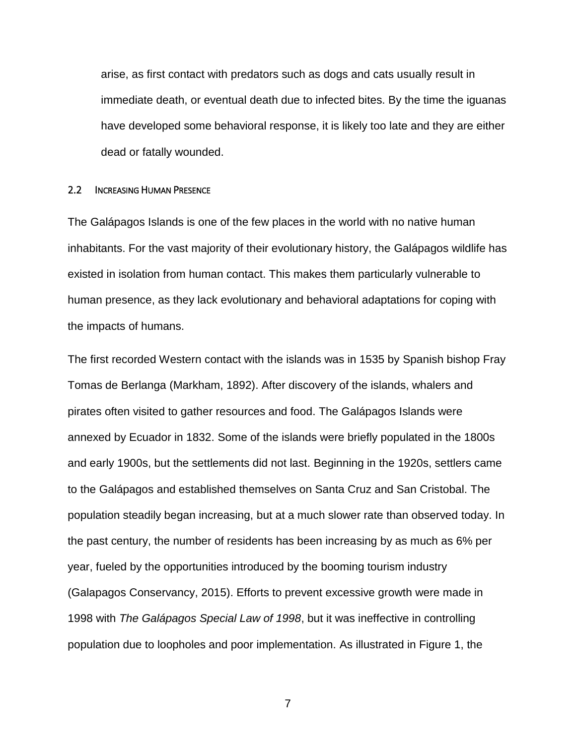arise, as first contact with predators such as dogs and cats usually result in immediate death, or eventual death due to infected bites. By the time the iguanas have developed some behavioral response, it is likely too late and they are either dead or fatally wounded.

#### <span id="page-13-0"></span>2.2 INCREASING HUMAN PRESENCE

 The Galápagos Islands is one of the few places in the world with no native human inhabitants. For the vast majority of their evolutionary history, the Galápagos wildlife has existed in isolation from human contact. This makes them particularly vulnerable to human presence, as they lack evolutionary and behavioral adaptations for coping with the impacts of humans.

 The first recorded Western contact with the islands was in 1535 by Spanish bishop Fray Tomas de Berlanga (Markham, 1892). After discovery of the islands, whalers and pirates often visited to gather resources and food. The Galápagos Islands were to the Galápagos and established themselves on Santa Cruz and San Cristobal. The population steadily began increasing, but at a much slower rate than observed today. In year, fueled by the opportunities introduced by the booming tourism industry 1998 with *The Galápagos Special Law of 1998*, but it was ineffective in controlling annexed by Ecuador in 1832. Some of the islands were briefly populated in the 1800s and early 1900s, but the settlements did not last. Beginning in the 1920s, settlers came the past century, the number of residents has been increasing by as much as 6% per (Galapagos Conservancy, 2015). Efforts to prevent excessive growth were made in population due to loopholes and poor implementation. As illustrated in Figure 1, the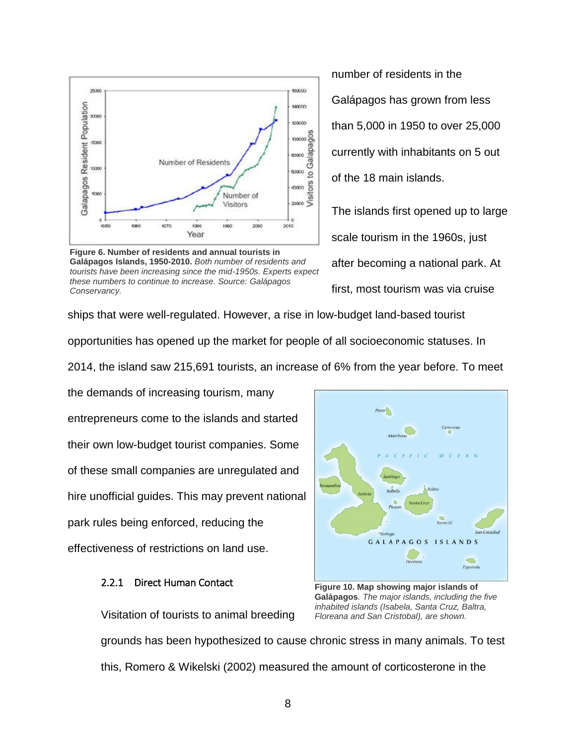

 *tourists have been increasing since the mid-1950s. Experts expect*  **Figure 6. Number of residents and annual tourists in Galápagos Islands, 1950-2010.** *Both number of residents and these numbers to continue to increase. Source: Galápagos Conservancy.* 

 number of residents in the Galápagos has grown from less than 5,000 in 1950 to over 25,000 currently with inhabitants on 5 out of the 18 main islands.

The islands first opened up to large scale tourism in the 1960s, just after becoming a national park. At first, most tourism was via cruise

 opportunities has opened up the market for people of all socioeconomic statuses. In ships that were well-regulated. However, a rise in low-budget land-based tourist

2014, the island saw 215,691 tourists, an increase of 6% from the year before. To meet

 their own low-budget tourist companies. Some of these small companies are unregulated and hire unofficial guides. This may prevent national park rules being enforced, reducing the the demands of increasing tourism, many entrepreneurs come to the islands and started effectiveness of restrictions on land use.

## 2.2.1 Direct Human Contact



Visitation of tourists to animal breeding *Floreana and San Cristobal), are shown.*  grounds has been hypothesized to cause chronic stress in many animals. To test this, Romero & Wikelski (2002) measured the amount of corticosterone in the

 **Galápagos***. The major islands, including the five*  **Figure 10. Map showing major islands of**  *inhabited islands (Isabela, Santa Cruz, Baltra,*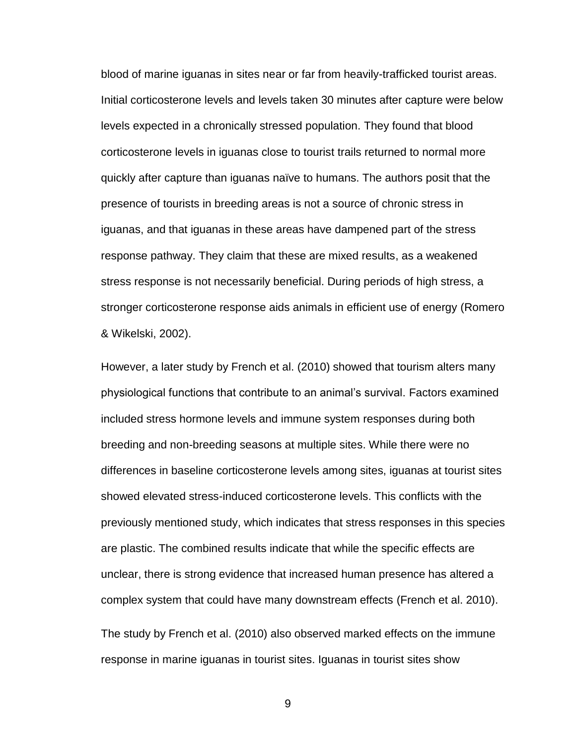levels expected in a chronically stressed population. They found that blood stress response is not necessarily beneficial. During periods of high stress, a stronger corticosterone response aids animals in efficient use of energy (Romero blood of marine iguanas in sites near or far from heavily-trafficked tourist areas. Initial corticosterone levels and levels taken 30 minutes after capture were below corticosterone levels in iguanas close to tourist trails returned to normal more quickly after capture than iguanas naïve to humans. The authors posit that the presence of tourists in breeding areas is not a source of chronic stress in iguanas, and that iguanas in these areas have dampened part of the stress response pathway. They claim that these are mixed results, as a weakened & Wikelski, 2002).

 physiological functions that contribute to an animal's survival. Factors examined included stress hormone levels and immune system responses during both differences in baseline corticosterone levels among sites, iguanas at tourist sites unclear, there is strong evidence that increased human presence has altered a complex system that could have many downstream effects (French et al. 2010). complex system that could have many downstream effects (French et al. 2010).<br>The study by French et al. (2010) also observed marked effects on the immune However, a later study by French et al. (2010) showed that tourism alters many breeding and non-breeding seasons at multiple sites. While there were no showed elevated stress-induced corticosterone levels. This conflicts with the previously mentioned study, which indicates that stress responses in this species are plastic. The combined results indicate that while the specific effects are

response in marine iguanas in tourist sites. Iguanas in tourist sites show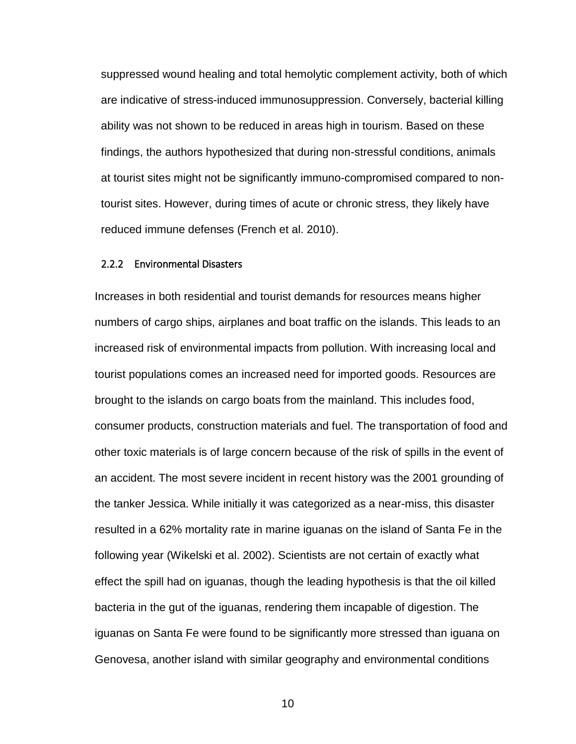ability was not shown to be reduced in areas high in tourism. Based on these at tourist sites might not be significantly immuno-compromised compared to non- tourist sites. However, during times of acute or chronic stress, they likely have suppressed wound healing and total hemolytic complement activity, both of which are indicative of stress-induced immunosuppression. Conversely, bacterial killing findings, the authors hypothesized that during non-stressful conditions, animals reduced immune defenses (French et al. 2010).

#### 2.2.2 Environmental Disasters

 numbers of cargo ships, airplanes and boat traffic on the islands. This leads to an consumer products, construction materials and fuel. The transportation of food and resulted in a 62% mortality rate in marine iguanas on the island of Santa Fe in the following year (Wikelski et al. 2002). Scientists are not certain of exactly what effect the spill had on iguanas, though the leading hypothesis is that the oil killed Increases in both residential and tourist demands for resources means higher increased risk of environmental impacts from pollution. With increasing local and tourist populations comes an increased need for imported goods. Resources are brought to the islands on cargo boats from the mainland. This includes food, other toxic materials is of large concern because of the risk of spills in the event of an accident. The most severe incident in recent history was the 2001 grounding of the tanker Jessica. While initially it was categorized as a near-miss, this disaster bacteria in the gut of the iguanas, rendering them incapable of digestion. The iguanas on Santa Fe were found to be significantly more stressed than iguana on Genovesa, another island with similar geography and environmental conditions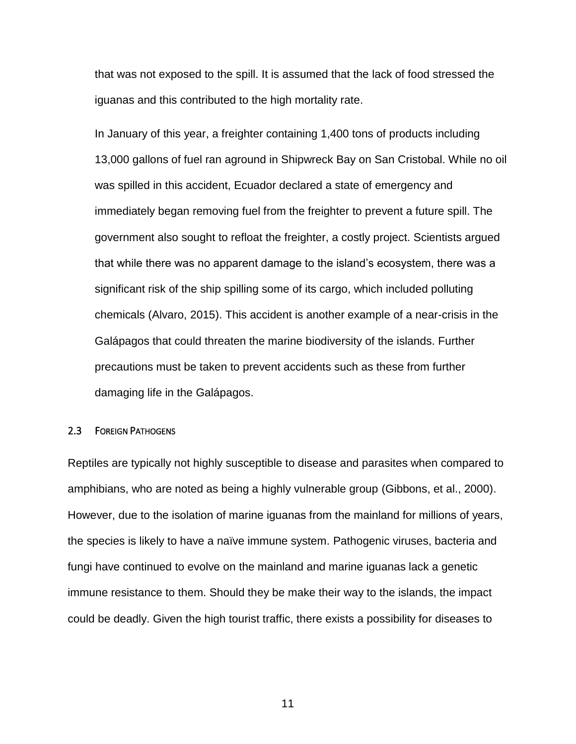that was not exposed to the spill. It is assumed that the lack of food stressed the iguanas and this contributed to the high mortality rate.

 In January of this year, a freighter containing 1,400 tons of products including immediately began removing fuel from the freighter to prevent a future spill. The significant risk of the ship spilling some of its cargo, which included polluting precautions must be taken to prevent accidents such as these from further 13,000 gallons of fuel ran aground in Shipwreck Bay on San Cristobal. While no oil was spilled in this accident, Ecuador declared a state of emergency and government also sought to refloat the freighter, a costly project. Scientists argued that while there was no apparent damage to the island's ecosystem, there was a chemicals (Alvaro, 2015). This accident is another example of a near-crisis in the Galápagos that could threaten the marine biodiversity of the islands. Further damaging life in the Galápagos.

#### <span id="page-17-0"></span>2.3 FOREIGN PATHOGENS

 amphibians, who are noted as being a highly vulnerable group (Gibbons, et al., 2000). However, due to the isolation of marine iguanas from the mainland for millions of years, the species is likely to have a naïve immune system. Pathogenic viruses, bacteria and Reptiles are typically not highly susceptible to disease and parasites when compared to fungi have continued to evolve on the mainland and marine iguanas lack a genetic immune resistance to them. Should they be make their way to the islands, the impact could be deadly. Given the high tourist traffic, there exists a possibility for diseases to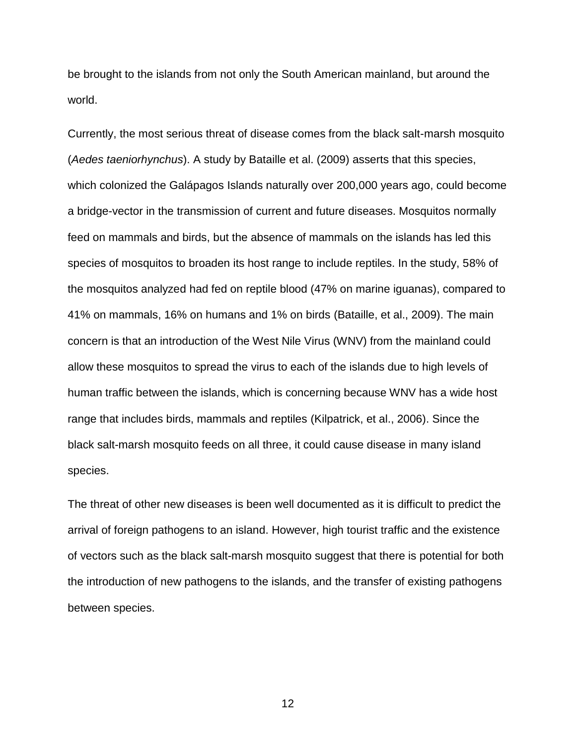world. world.<br>Currently, the most serious threat of disease comes from the black salt-marsh mosquito be brought to the islands from not only the South American mainland, but around the

 which colonized the Galápagos Islands naturally over 200,000 years ago, could become feed on mammals and birds, but the absence of mammals on the islands has led this the mosquitos analyzed had fed on reptile blood (47% on marine iguanas), compared to allow these mosquitos to spread the virus to each of the islands due to high levels of range that includes birds, mammals and reptiles (Kilpatrick, et al., 2006). Since the species. (*Aedes taeniorhynchus*). A study by Bataille et al. (2009) asserts that this species, a bridge-vector in the transmission of current and future diseases. Mosquitos normally species of mosquitos to broaden its host range to include reptiles. In the study, 58% of 41% on mammals, 16% on humans and 1% on birds (Bataille, et al., 2009). The main concern is that an introduction of the West Nile Virus (WNV) from the mainland could human traffic between the islands, which is concerning because WNV has a wide host black salt-marsh mosquito feeds on all three, it could cause disease in many island

 arrival of foreign pathogens to an island. However, high tourist traffic and the existence the introduction of new pathogens to the islands, and the transfer of existing pathogens between species. The threat of other new diseases is been well documented as it is difficult to predict the of vectors such as the black salt-marsh mosquito suggest that there is potential for both between species.<br>12<br>12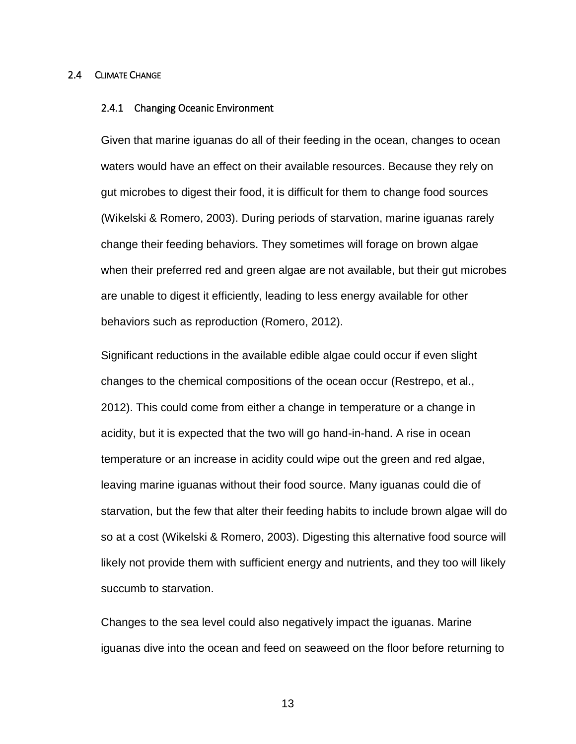#### <span id="page-19-0"></span>2.4 CLIMATE CHANGE

#### 2.4.1 Changing Oceanic Environment

 Given that marine iguanas do all of their feeding in the ocean, changes to ocean gut microbes to digest their food, it is difficult for them to change food sources change their feeding behaviors. They sometimes will forage on brown algae when their preferred red and green algae are not available, but their gut microbes waters would have an effect on their available resources. Because they rely on (Wikelski & Romero, 2003). During periods of starvation, marine iguanas rarely are unable to digest it efficiently, leading to less energy available for other behaviors such as reproduction (Romero, 2012).

 leaving marine iguanas without their food source. Many iguanas could die of starvation, but the few that alter their feeding habits to include brown algae will do so at a cost (Wikelski & Romero, 2003). Digesting this alternative food source will likely not provide them with sufficient energy and nutrients, and they too will likely succumb to starvation. Significant reductions in the available edible algae could occur if even slight changes to the chemical compositions of the ocean occur (Restrepo, et al., 2012). This could come from either a change in temperature or a change in acidity, but it is expected that the two will go hand-in-hand. A rise in ocean temperature or an increase in acidity could wipe out the green and red algae,

 iguanas dive into the ocean and feed on seaweed on the floor before returning to Changes to the sea level could also negatively impact the iguanas. Marine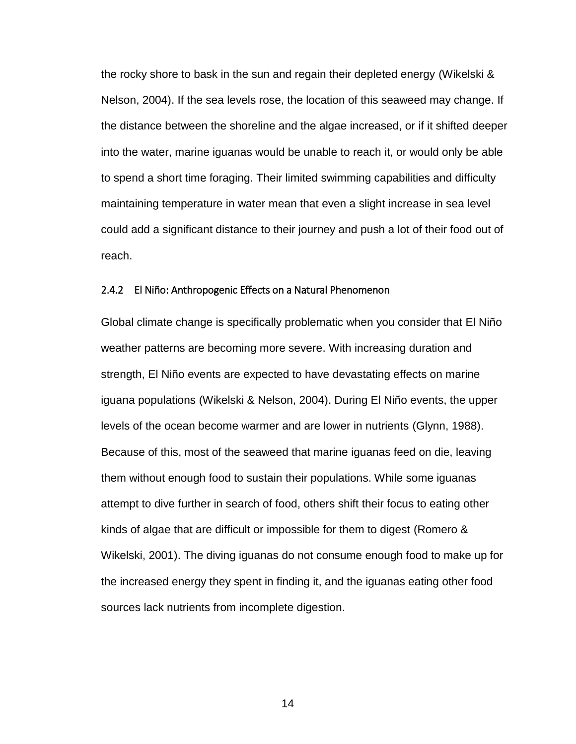the rocky shore to bask in the sun and regain their depleted energy (Wikelski & could add a significant distance to their journey and push a lot of their food out of Nelson, 2004). If the sea levels rose, the location of this seaweed may change. If the distance between the shoreline and the algae increased, or if it shifted deeper into the water, marine iguanas would be unable to reach it, or would only be able to spend a short time foraging. Their limited swimming capabilities and difficulty maintaining temperature in water mean that even a slight increase in sea level reach.

#### 2.4.2 El Niño: Anthropogenic Effects on a Natural Phenomenon

 Global climate change is specifically problematic when you consider that El Niño weather patterns are becoming more severe. With increasing duration and iguana populations (Wikelski & Nelson, 2004). During El Niño events, the upper levels of the ocean become warmer and are lower in nutrients (Glynn, 1988). Because of this, most of the seaweed that marine iguanas feed on die, leaving them without enough food to sustain their populations. While some iguanas kinds of algae that are difficult or impossible for them to digest (Romero & Wikelski, 2001). The diving iguanas do not consume enough food to make up for the increased energy they spent in finding it, and the iguanas eating other food strength, El Niño events are expected to have devastating effects on marine attempt to dive further in search of food, others shift their focus to eating other sources lack nutrients from incomplete digestion.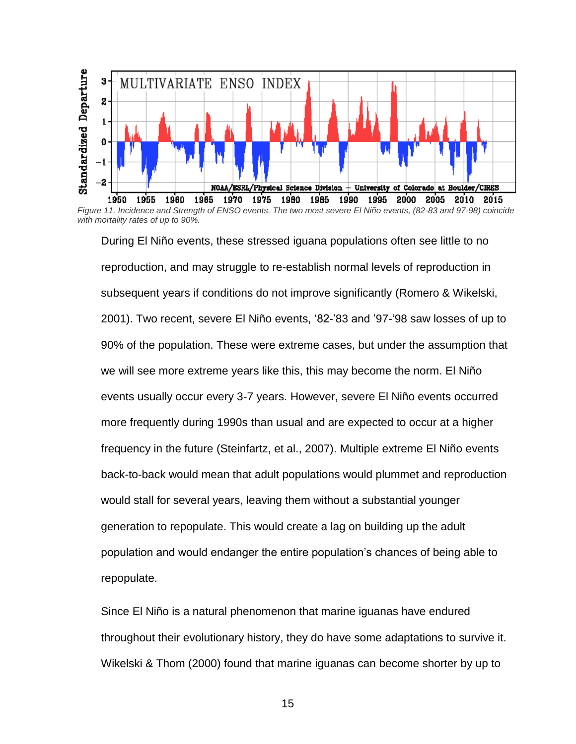

*Figure 11. Incidence and Strength of ENSO events. The two most severe El Niño events, (82-83 and 97 -98) coincide with mortality rates of up to 90%.* 

 During El Niño events, these stressed iguana populations often see little to no reproduction, and may struggle to re-establish normal levels of reproduction in subsequent years if conditions do not improve significantly (Romero & Wikelski, 2001). Two recent, severe El Niño events, '82-'83 and '97-'98 saw losses of up to 90% of the population. These were extreme cases, but under the assumption that events usually occur every 3-7 years. However, severe El Niño events occurred more frequently during 1990s than usual and are expected to occur at a higher frequency in the future (Steinfartz, et al., 2007). Multiple extreme El Niño events generation to repopulate. This would create a lag on building up the adult we will see more extreme years like this, this may become the norm. El Niño back-to-back would mean that adult populations would plummet and reproduction would stall for several years, leaving them without a substantial younger population and would endanger the entire population's chances of being able to repopulate.

 Since El Niño is a natural phenomenon that marine iguanas have endured throughout their evolutionary history, they do have some adaptations to survive it. Wikelski & Thom (2000) found that marine iguanas can become shorter by up to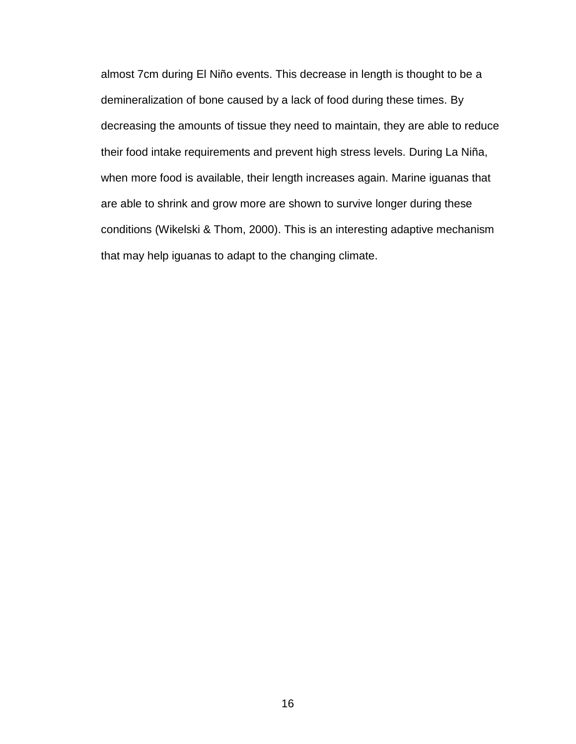almost 7cm during El Niño events. This decrease in length is thought to be a demineralization of bone caused by a lack of food during these times. By conditions (Wikelski & Thom, 2000). This is an interesting adaptive mechanism decreasing the amounts of tissue they need to maintain, they are able to reduce their food intake requirements and prevent high stress levels. During La Niña, when more food is available, their length increases again. Marine iguanas that are able to shrink and grow more are shown to survive longer during these that may help iguanas to adapt to the changing climate.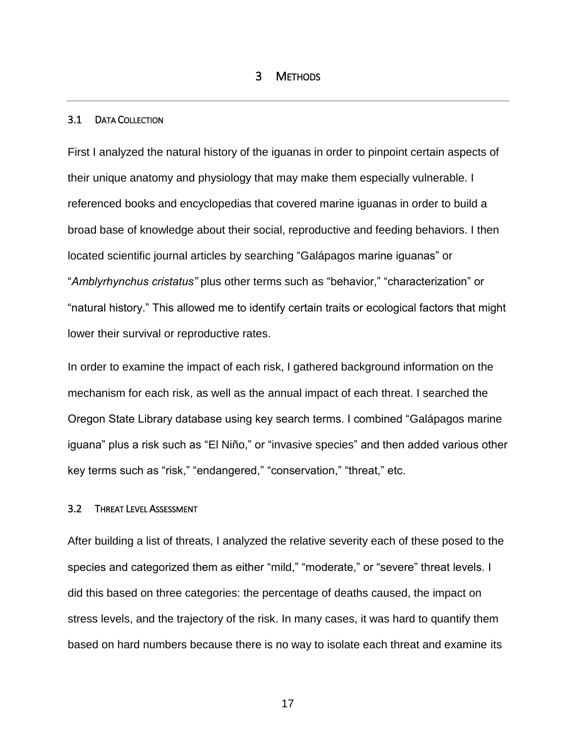#### <span id="page-23-1"></span><span id="page-23-0"></span>3.1 DATA COLLECTION

First I analyzed the natural history of the iguanas in order to pinpoint certain aspects of their unique anatomy and physiology that may make them especially vulnerable. I referenced books and encyclopedias that covered marine iguanas in order to build a broad base of knowledge about their social, reproductive and feeding behaviors. I then located scientific journal articles by searching "Galápagos marine iguanas" or "*Amblyrhynchus cristatus"* plus other terms such as "behavior," "characterization" or "natural history." This allowed me to identify certain traits or ecological factors that might lower their survival or reproductive rates.

 Oregon State Library database using key search terms. I combined "Galápagos marine In order to examine the impact of each risk, I gathered background information on the mechanism for each risk, as well as the annual impact of each threat. I searched the iguana" plus a risk such as "El Niño," or "invasive species" and then added various other key terms such as "risk," "endangered," "conservation," "threat," etc.

#### <span id="page-23-2"></span>3.2 THREAT LEVEL ASSESSMENT

 After building a list of threats, I analyzed the relative severity each of these posed to the stress levels, and the trajectory of the risk. In many cases, it was hard to quantify them based on hard numbers because there is no way to isolate each threat and examine its species and categorized them as either "mild," "moderate," or "severe" threat levels. I did this based on three categories: the percentage of deaths caused, the impact on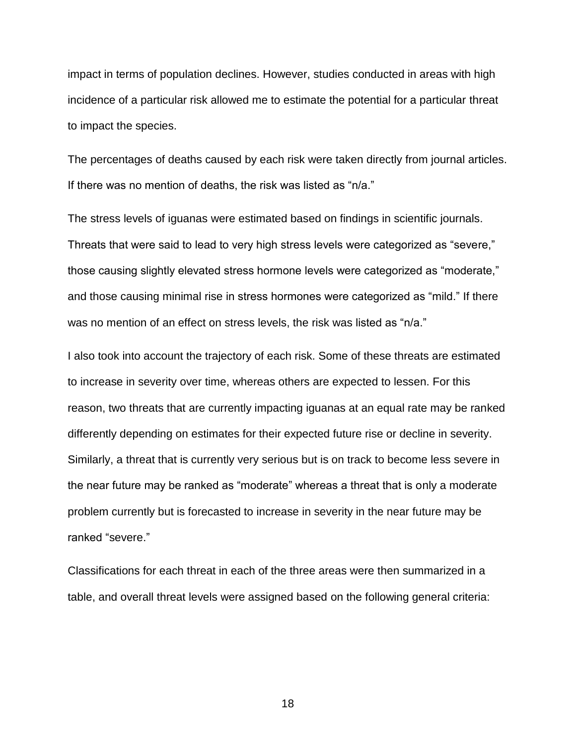incidence of a particular risk allowed me to estimate the potential for a particular threat impact in terms of population declines. However, studies conducted in areas with high to impact the species.

 The percentages of deaths caused by each risk were taken directly from journal articles. If there was no mention of deaths, the risk was listed as "n/a."

 The stress levels of iguanas were estimated based on findings in scientific journals. was no mention of an effect on stress levels, the risk was listed as "n/a." Threats that were said to lead to very high stress levels were categorized as "severe," those causing slightly elevated stress hormone levels were categorized as "moderate," and those causing minimal rise in stress hormones were categorized as "mild." If there

 reason, two threats that are currently impacting iguanas at an equal rate may be ranked the near future may be ranked as "moderate" whereas a threat that is only a moderate I also took into account the trajectory of each risk. Some of these threats are estimated to increase in severity over time, whereas others are expected to lessen. For this differently depending on estimates for their expected future rise or decline in severity. Similarly, a threat that is currently very serious but is on track to become less severe in problem currently but is forecasted to increase in severity in the near future may be ranked "severe."

 table, and overall threat levels were assigned based on the following general criteria: Classifications for each threat in each of the three areas were then summarized in a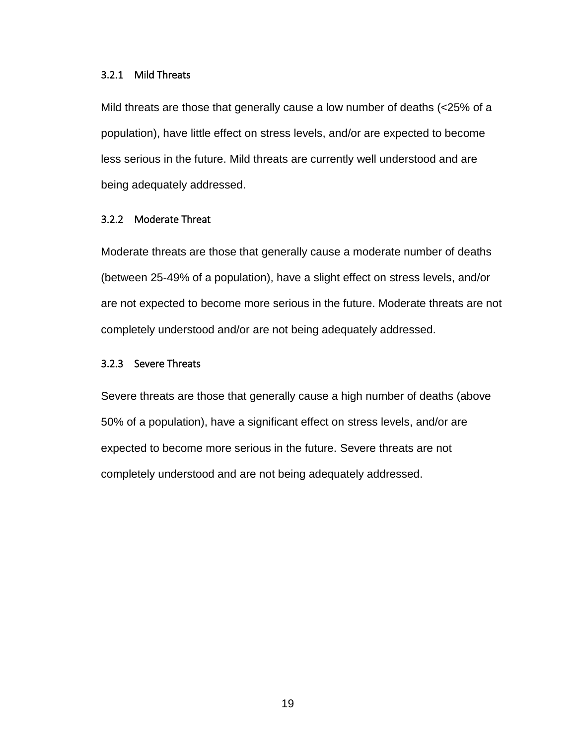### 3.2.1 Mild Threats

 Mild threats are those that generally cause a low number of deaths (<25% of a population), have little effect on stress levels, and/or are expected to become less serious in the future. Mild threats are currently well understood and are being adequately addressed.

#### 3.2.2 Moderate Threat

 (between 25-49% of a population), have a slight effect on stress levels, and/or Moderate threats are those that generally cause a moderate number of deaths are not expected to become more serious in the future. Moderate threats are not completely understood and/or are not being adequately addressed.

#### 3.2.3 Severe Threats

 expected to become more serious in the future. Severe threats are not Severe threats are those that generally cause a high number of deaths (above 50% of a population), have a significant effect on stress levels, and/or are completely understood and are not being adequately addressed.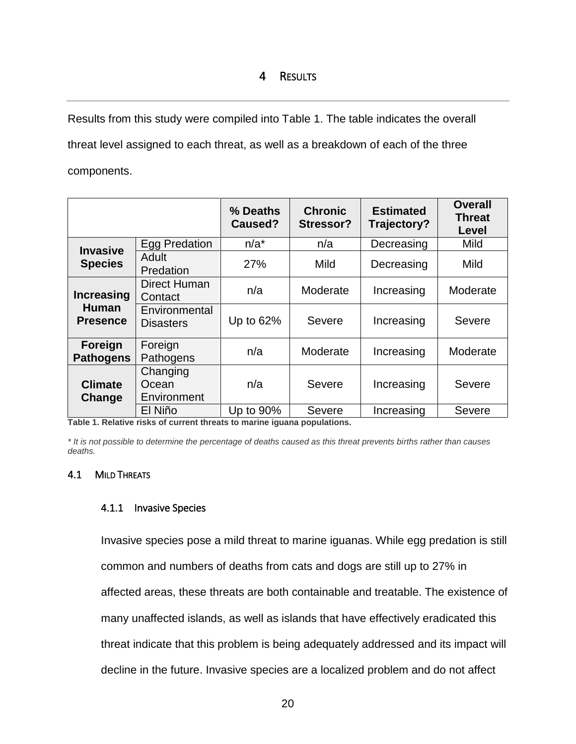<span id="page-26-0"></span> Results from this study were compiled into Table 1. The table indicates the overall threat level assigned to each threat, as well as a breakdown of each of the three components.

|                                 |                                   | % Deaths<br>Caused? | <b>Chronic</b><br>Stressor? | <b>Estimated</b><br>Trajectory? | <b>Overall</b><br><b>Threat</b><br>Level |
|---------------------------------|-----------------------------------|---------------------|-----------------------------|---------------------------------|------------------------------------------|
| <b>Invasive</b>                 | Egg Predation                     | $n/a^*$             | n/a                         | Decreasing                      | Mild                                     |
| <b>Species</b>                  | Adult<br>Predation                | 27%                 | Mild                        | Decreasing                      | Mild                                     |
| <b>Increasing</b>               | <b>Direct Human</b><br>Contact    | n/a                 | Moderate                    | Increasing                      | Moderate                                 |
| <b>Human</b><br><b>Presence</b> | Environmental<br><b>Disasters</b> | Up to 62%           | Severe                      | Increasing                      | Severe                                   |
| Foreign<br><b>Pathogens</b>     | Foreign<br>Pathogens              | n/a                 | Moderate                    | Increasing                      | Moderate                                 |
| <b>Climate</b><br>Change        | Changing<br>Ocean<br>Environment  | n/a                 | Severe                      | Increasing                      | Severe                                   |
|                                 | El Niño                           | Up to 90%           | Severe                      | Increasing                      | Severe                                   |

<span id="page-26-2"></span> **Table 1. Relative risks of current threats to marine iguana populations.** 

 *\* It is not possible to determine the percentage of deaths caused as this threat prevents births rather than causes deaths.* 

## <span id="page-26-1"></span>4.1 MILD THREATS

### 4.1.1 Invasive Species

 Invasive species pose a mild threat to marine iguanas. While egg predation is still common and numbers of deaths from cats and dogs are still up to 27% in affected areas, these threats are both containable and treatable. The existence of many unaffected islands, as well as islands that have effectively eradicated this threat indicate that this problem is being adequately addressed and its impact will decline in the future. Invasive species are a localized problem and do not affect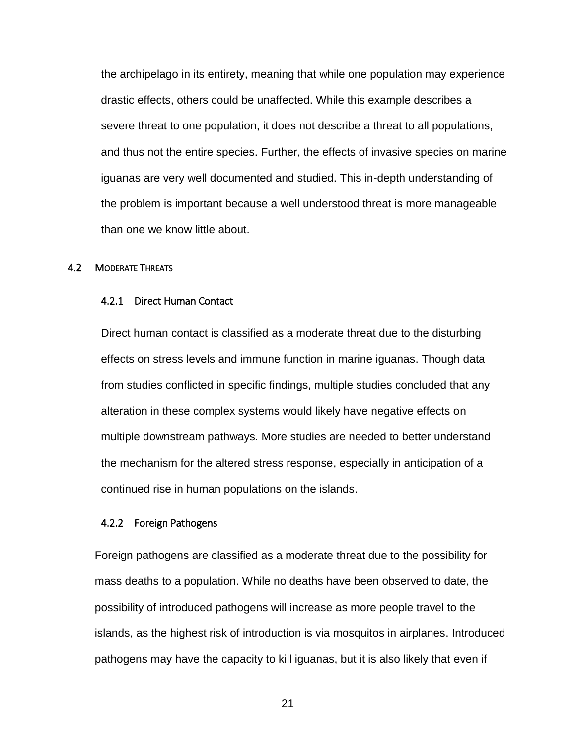severe threat to one population, it does not describe a threat to all populations, the problem is important because a well understood threat is more manageable than one we know little about. the archipelago in its entirety, meaning that while one population may experience drastic effects, others could be unaffected. While this example describes a and thus not the entire species. Further, the effects of invasive species on marine iguanas are very well documented and studied. This in-depth understanding of

#### <span id="page-27-0"></span>4.2 MODERATE THREATS

#### 4.2.1 Direct Human Contact

 Direct human contact is classified as a moderate threat due to the disturbing from studies conflicted in specific findings, multiple studies concluded that any the mechanism for the altered stress response, especially in anticipation of a continued rise in human populations on the islands. effects on stress levels and immune function in marine iguanas. Though data alteration in these complex systems would likely have negative effects on multiple downstream pathways. More studies are needed to better understand

#### 4.2.2 Foreign Pathogens

 Foreign pathogens are classified as a moderate threat due to the possibility for mass deaths to a population. While no deaths have been observed to date, the possibility of introduced pathogens will increase as more people travel to the islands, as the highest risk of introduction is via mosquitos in airplanes. Introduced pathogens may have the capacity to kill iguanas, but it is also likely that even if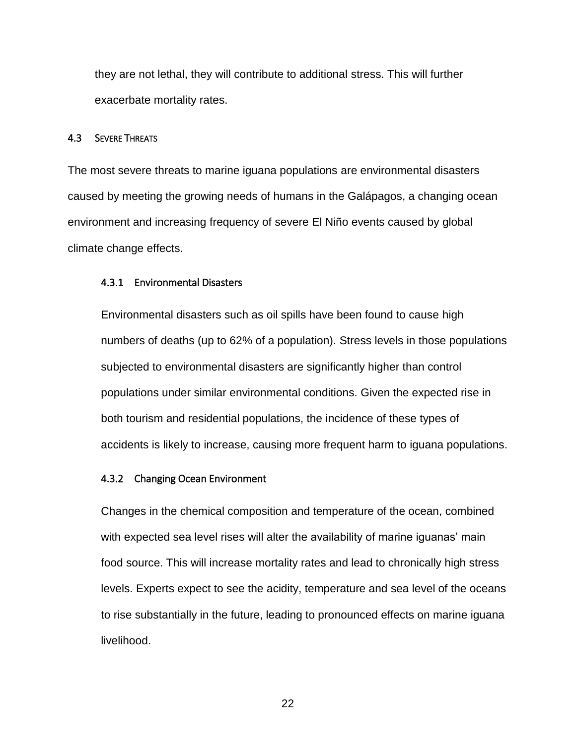they are not lethal, they will contribute to additional stress. This will further exacerbate mortality rates.

#### <span id="page-28-0"></span>4.3 SEVERE THREATS

 caused by meeting the growing needs of humans in the Galápagos, a changing ocean environment and increasing frequency of severe El Niño events caused by global climate change effects. The most severe threats to marine iguana populations are environmental disasters

#### 4.3.1 Environmental Disasters

 Environmental disasters such as oil spills have been found to cause high numbers of deaths (up to 62% of a population). Stress levels in those populations subjected to environmental disasters are significantly higher than control populations under similar environmental conditions. Given the expected rise in both tourism and residential populations, the incidence of these types of accidents is likely to increase, causing more frequent harm to iguana populations.

#### 4.3.2 Changing Ocean Environment

 Changes in the chemical composition and temperature of the ocean, combined with expected sea level rises will alter the availability of marine iguanas' main food source. This will increase mortality rates and lead to chronically high stress levels. Experts expect to see the acidity, temperature and sea level of the oceans to rise substantially in the future, leading to pronounced effects on marine iguana livelihood.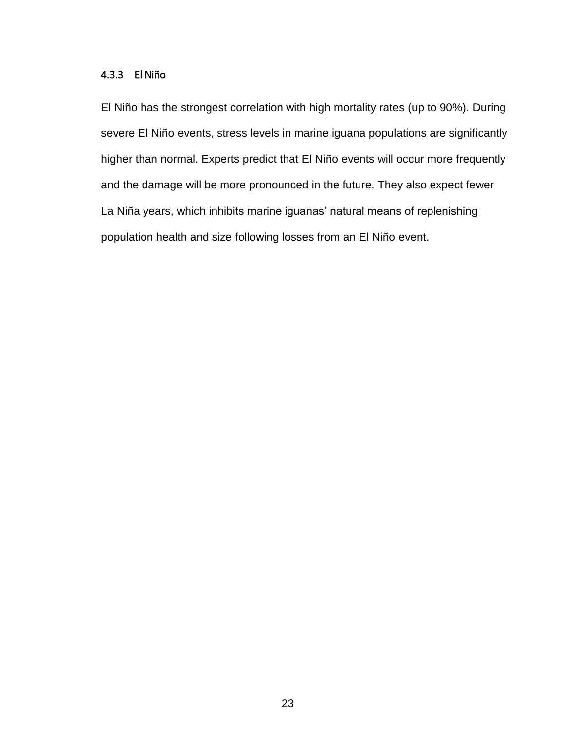## 4.3.3 El Niño

 El Niño has the strongest correlation with high mortality rates (up to 90%). During and the damage will be more pronounced in the future. They also expect fewer population health and size following losses from an El Niño event. severe El Niño events, stress levels in marine iguana populations are significantly higher than normal. Experts predict that El Niño events will occur more frequently La Niña years, which inhibits marine iguanas' natural means of replenishing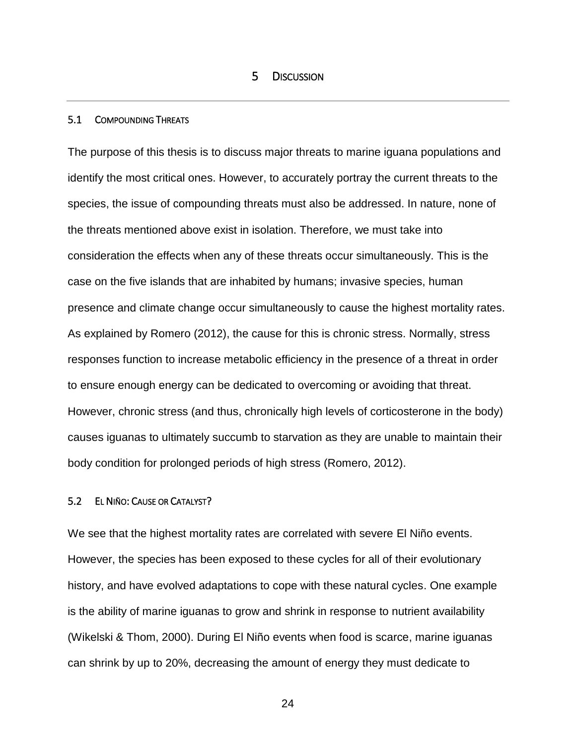#### <span id="page-30-1"></span><span id="page-30-0"></span>5.1 COMPOUNDING THREATS

 species, the issue of compounding threats must also be addressed. In nature, none of case on the five islands that are inhabited by humans; invasive species, human presence and climate change occur simultaneously to cause the highest mortality rates. responses function to increase metabolic efficiency in the presence of a threat in order The purpose of this thesis is to discuss major threats to marine iguana populations and identify the most critical ones. However, to accurately portray the current threats to the the threats mentioned above exist in isolation. Therefore, we must take into consideration the effects when any of these threats occur simultaneously. This is the As explained by Romero (2012), the cause for this is chronic stress. Normally, stress to ensure enough energy can be dedicated to overcoming or avoiding that threat. However, chronic stress (and thus, chronically high levels of corticosterone in the body) causes iguanas to ultimately succumb to starvation as they are unable to maintain their body condition for prolonged periods of high stress (Romero, 2012).

### <span id="page-30-2"></span>5.2 EL NIÑO: CAUSE OR CATALYST?

 We see that the highest mortality rates are correlated with severe El Niño events. However, the species has been exposed to these cycles for all of their evolutionary (Wikelski & Thom, 2000). During El Niño events when food is scarce, marine iguanas history, and have evolved adaptations to cope with these natural cycles. One example is the ability of marine iguanas to grow and shrink in response to nutrient availability can shrink by up to 20%, decreasing the amount of energy they must dedicate to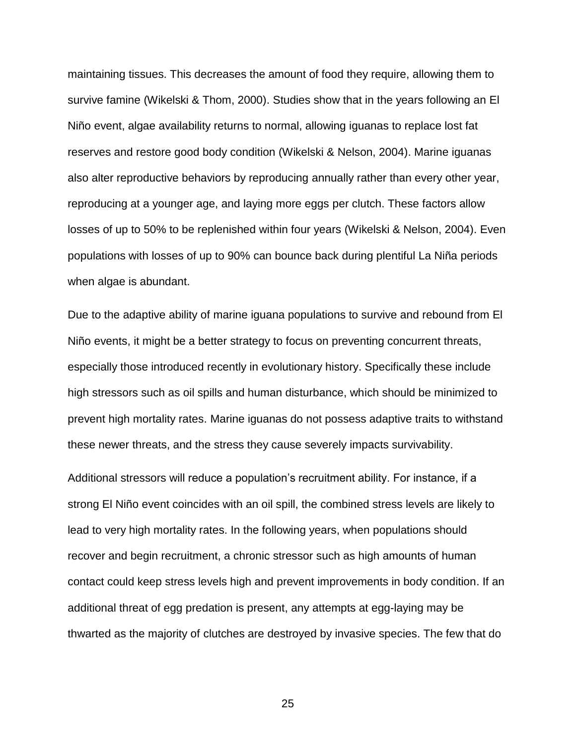also alter reproductive behaviors by reproducing annually rather than every other year, reproducing at a younger age, and laying more eggs per clutch. These factors allow losses of up to 50% to be replenished within four years (Wikelski & Nelson, 2004). Even maintaining tissues. This decreases the amount of food they require, allowing them to survive famine (Wikelski & Thom, 2000). Studies show that in the years following an El Niño event, algae availability returns to normal, allowing iguanas to replace lost fat reserves and restore good body condition (Wikelski & Nelson, 2004). Marine iguanas populations with losses of up to 90% can bounce back during plentiful La Niña periods when algae is abundant.

 Due to the adaptive ability of marine iguana populations to survive and rebound from El Niño events, it might be a better strategy to focus on preventing concurrent threats, especially those introduced recently in evolutionary history. Specifically these include high stressors such as oil spills and human disturbance, which should be minimized to prevent high mortality rates. Marine iguanas do not possess adaptive traits to withstand these newer threats, and the stress they cause severely impacts survivability.

 Additional stressors will reduce a population's recruitment ability. For instance, if a strong El Niño event coincides with an oil spill, the combined stress levels are likely to recover and begin recruitment, a chronic stressor such as high amounts of human additional threat of egg predation is present, any attempts at egg-laying may be thwarted as the majority of clutches are destroyed by invasive species. The few that do lead to very high mortality rates. In the following years, when populations should contact could keep stress levels high and prevent improvements in body condition. If an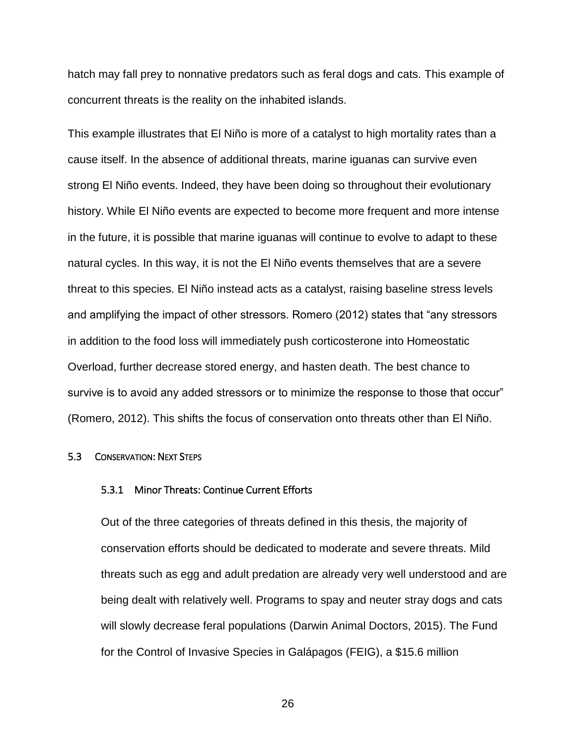hatch may fall prey to nonnative predators such as feral dogs and cats. This example of concurrent threats is the reality on the inhabited islands.

 This example illustrates that El Niño is more of a catalyst to high mortality rates than a cause itself. In the absence of additional threats, marine iguanas can survive even strong El Niño events. Indeed, they have been doing so throughout their evolutionary history. While El Niño events are expected to become more frequent and more intense in the future, it is possible that marine iguanas will continue to evolve to adapt to these natural cycles. In this way, it is not the El Niño events themselves that are a severe threat to this species. El Niño instead acts as a catalyst, raising baseline stress levels (Romero, 2012). This shifts the focus of conservation onto threats other than El Niño. and amplifying the impact of other stressors. Romero (2012) states that "any stressors in addition to the food loss will immediately push corticosterone into Homeostatic Overload, further decrease stored energy, and hasten death. The best chance to survive is to avoid any added stressors or to minimize the response to those that occur"

#### <span id="page-32-0"></span>5.3 CONSERVATION: NEXT STEPS

#### 5.3.1 Minor Threats: Continue Current Efforts

Out of the three categories of threats defined in this thesis, the majority of conservation efforts should be dedicated to moderate and severe threats. Mild threats such as egg and adult predation are already very well understood and are being dealt with relatively well. Programs to spay and neuter stray dogs and cats will slowly decrease feral populations (Darwin Animal Doctors, 2015). The Fund for the Control of Invasive Species in Galápagos (FEIG), a \$15.6 million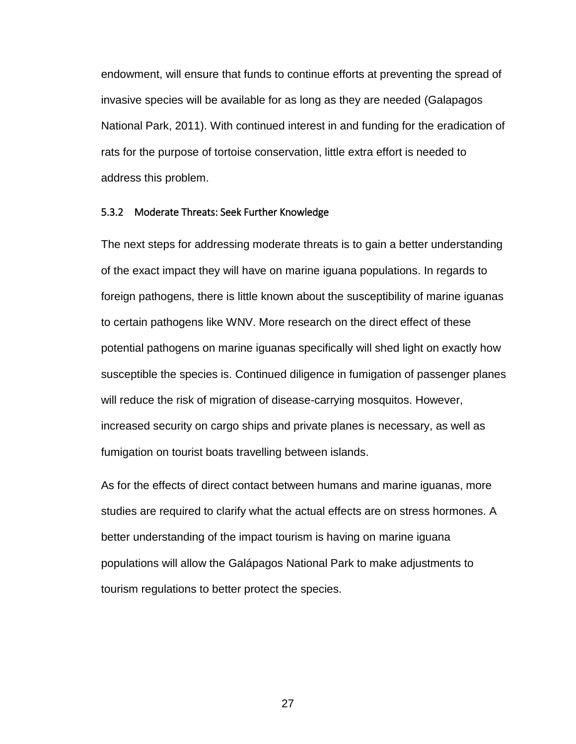endowment, will ensure that funds to continue efforts at preventing the spread of National Park, 2011). With continued interest in and funding for the eradication of invasive species will be available for as long as they are needed (Galapagos rats for the purpose of tortoise conservation, little extra effort is needed to address this problem.

#### 5.3.2 Moderate Threats: Seek Further Knowledge

The next steps for addressing moderate threats is to gain a better understanding of the exact impact they will have on marine iguana populations. In regards to foreign pathogens, there is little known about the susceptibility of marine iguanas to certain pathogens like WNV. More research on the direct effect of these potential pathogens on marine iguanas specifically will shed light on exactly how susceptible the species is. Continued diligence in fumigation of passenger planes will reduce the risk of migration of disease-carrying mosquitos. However, increased security on cargo ships and private planes is necessary, as well as fumigation on tourist boats travelling between islands.

 studies are required to clarify what the actual effects are on stress hormones. A populations will allow the Galápagos National Park to make adjustments to tourism regulations to better protect the species. As for the effects of direct contact between humans and marine iguanas, more better understanding of the impact tourism is having on marine iguana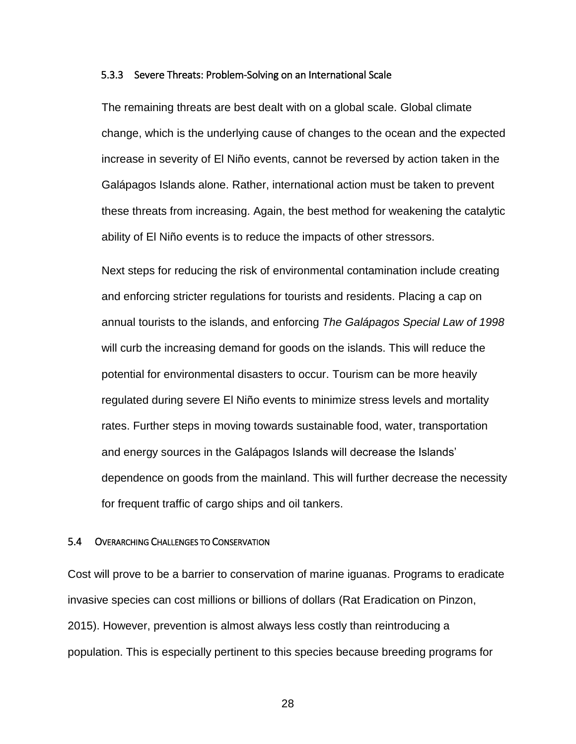#### 5.3.3 Severe Threats: Problem-Solving on an International Scale

 change, which is the underlying cause of changes to the ocean and the expected increase in severity of El Niño events, cannot be reversed by action taken in the ability of El Niño events is to reduce the impacts of other stressors. The remaining threats are best dealt with on a global scale. Global climate Galápagos Islands alone. Rather, international action must be taken to prevent these threats from increasing. Again, the best method for weakening the catalytic

 and enforcing stricter regulations for tourists and residents. Placing a cap on  annual tourists to the islands, and enforcing *The Galápagos Special Law of 1998*  will curb the increasing demand for goods on the islands. This will reduce the potential for environmental disasters to occur. Tourism can be more heavily and energy sources in the Galápagos Islands will decrease the Islands' dependence on goods from the mainland. This will further decrease the necessity for frequent traffic of cargo ships and oil tankers. Next steps for reducing the risk of environmental contamination include creating regulated during severe El Niño events to minimize stress levels and mortality rates. Further steps in moving towards sustainable food, water, transportation

#### <span id="page-34-0"></span>5.4 OVERARCHING CHALLENGES TO CONSERVATION

 Cost will prove to be a barrier to conservation of marine iguanas. Programs to eradicate invasive species can cost millions or billions of dollars (Rat Eradication on Pinzon, 2015). However, prevention is almost always less costly than reintroducing a population. This is especially pertinent to this species because breeding programs for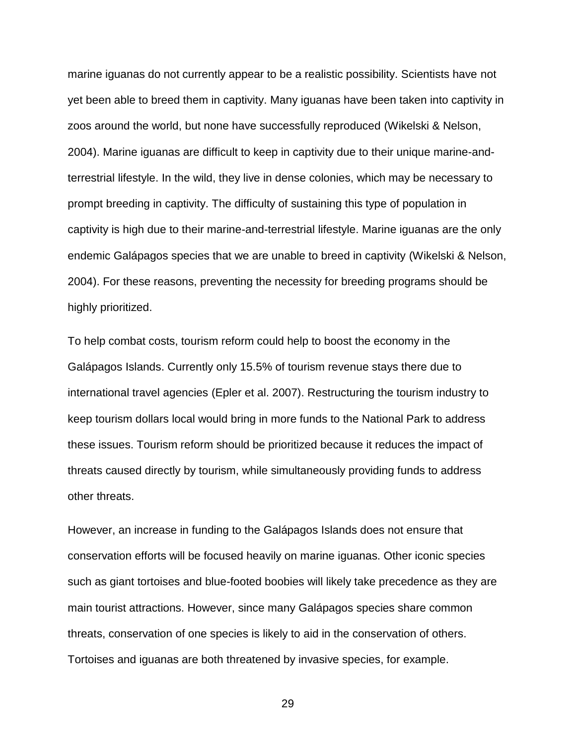marine iguanas do not currently appear to be a realistic possibility. Scientists have not yet been able to breed them in captivity. Many iguanas have been taken into captivity in captivity is high due to their marine-and-terrestrial lifestyle. Marine iguanas are the only zoos around the world, but none have successfully reproduced (Wikelski & Nelson, 2004). Marine iguanas are difficult to keep in captivity due to their unique marine-andterrestrial lifestyle. In the wild, they live in dense colonies, which may be necessary to prompt breeding in captivity. The difficulty of sustaining this type of population in endemic Galápagos species that we are unable to breed in captivity (Wikelski & Nelson, 2004). For these reasons, preventing the necessity for breeding programs should be highly prioritized.

other threats. other threats.<br>However, an increase in funding to the Galápagos Islands does not ensure that To help combat costs, tourism reform could help to boost the economy in the Galápagos Islands. Currently only 15.5% of tourism revenue stays there due to international travel agencies (Epler et al. 2007). Restructuring the tourism industry to keep tourism dollars local would bring in more funds to the National Park to address these issues. Tourism reform should be prioritized because it reduces the impact of threats caused directly by tourism, while simultaneously providing funds to address

 main tourist attractions. However, since many Galápagos species share common Tortoises and iguanas are both threatened by invasive species, for example. 29 conservation efforts will be focused heavily on marine iguanas. Other iconic species such as giant tortoises and blue-footed boobies will likely take precedence as they are threats, conservation of one species is likely to aid in the conservation of others.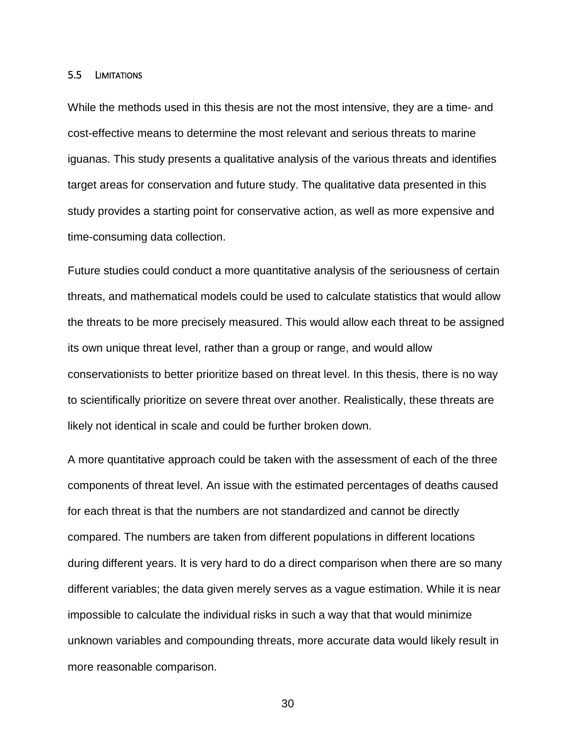#### <span id="page-36-0"></span>5.5 LIMITATIONS

 While the methods used in this thesis are not the most intensive, they are a time- and cost-effective means to determine the most relevant and serious threats to marine target areas for conservation and future study. The qualitative data presented in this iguanas. This study presents a qualitative analysis of the various threats and identifies study provides a starting point for conservative action, as well as more expensive and time-consuming data collection.

 Future studies could conduct a more quantitative analysis of the seriousness of certain threats, and mathematical models could be used to calculate statistics that would allow the threats to be more precisely measured. This would allow each threat to be assigned its own unique threat level, rather than a group or range, and would allow conservationists to better prioritize based on threat level. In this thesis, there is no way likely not identical in scale and could be further broken down. to scientifically prioritize on severe threat over another. Realistically, these threats are

 A more quantitative approach could be taken with the assessment of each of the three for each threat is that the numbers are not standardized and cannot be directly compared. The numbers are taken from different populations in different locations components of threat level. An issue with the estimated percentages of deaths caused during different years. It is very hard to do a direct comparison when there are so many different variables; the data given merely serves as a vague estimation. While it is near impossible to calculate the individual risks in such a way that that would minimize unknown variables and compounding threats, more accurate data would likely result in more reasonable comparison.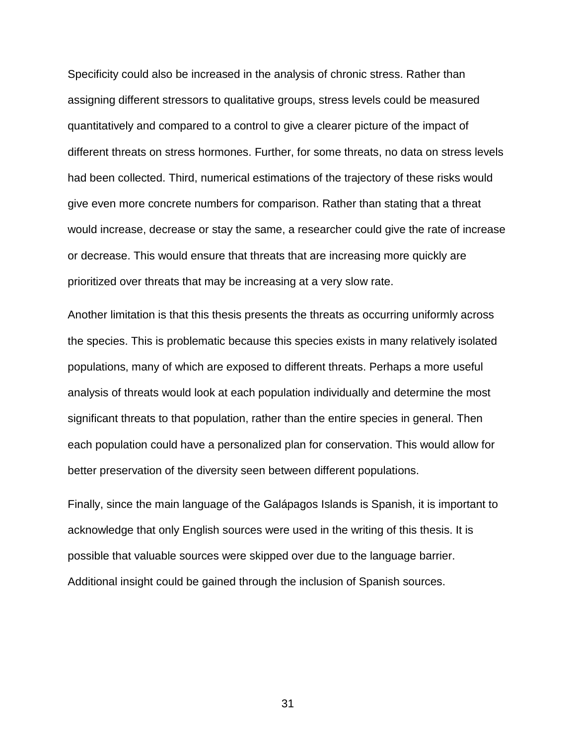quantitatively and compared to a control to give a clearer picture of the impact of different threats on stress hormones. Further, for some threats, no data on stress levels Specificity could also be increased in the analysis of chronic stress. Rather than assigning different stressors to qualitative groups, stress levels could be measured had been collected. Third, numerical estimations of the trajectory of these risks would give even more concrete numbers for comparison. Rather than stating that a threat would increase, decrease or stay the same, a researcher could give the rate of increase or decrease. This would ensure that threats that are increasing more quickly are prioritized over threats that may be increasing at a very slow rate.

 analysis of threats would look at each population individually and determine the most Another limitation is that this thesis presents the threats as occurring uniformly across the species. This is problematic because this species exists in many relatively isolated populations, many of which are exposed to different threats. Perhaps a more useful significant threats to that population, rather than the entire species in general. Then each population could have a personalized plan for conservation. This would allow for better preservation of the diversity seen between different populations.

 Finally, since the main language of the Galápagos Islands is Spanish, it is important to Additional insight could be gained through the inclusion of Spanish sources. acknowledge that only English sources were used in the writing of this thesis. It is possible that valuable sources were skipped over due to the language barrier.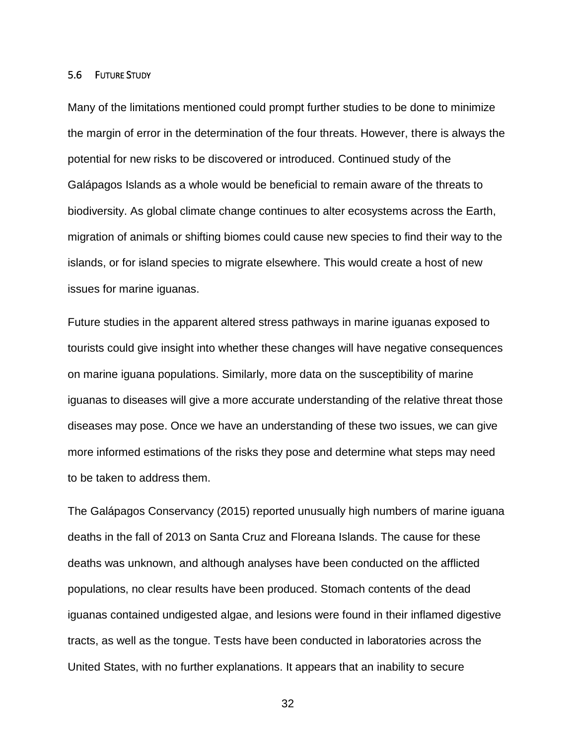#### <span id="page-38-0"></span>5.6 FUTURE STUDY

 Many of the limitations mentioned could prompt further studies to be done to minimize potential for new risks to be discovered or introduced. Continued study of the migration of animals or shifting biomes could cause new species to find their way to the islands, or for island species to migrate elsewhere. This would create a host of new the margin of error in the determination of the four threats. However, there is always the Galápagos Islands as a whole would be beneficial to remain aware of the threats to biodiversity. As global climate change continues to alter ecosystems across the Earth, issues for marine iguanas.

 Future studies in the apparent altered stress pathways in marine iguanas exposed to on marine iguana populations. Similarly, more data on the susceptibility of marine to be taken to address them. tourists could give insight into whether these changes will have negative consequences iguanas to diseases will give a more accurate understanding of the relative threat those diseases may pose. Once we have an understanding of these two issues, we can give more informed estimations of the risks they pose and determine what steps may need

 The Galápagos Conservancy (2015) reported unusually high numbers of marine iguana deaths in the fall of 2013 on Santa Cruz and Floreana Islands. The cause for these deaths was unknown, and although analyses have been conducted on the afflicted populations, no clear results have been produced. Stomach contents of the dead iguanas contained undigested algae, and lesions were found in their inflamed digestive tracts, as well as the tongue. Tests have been conducted in laboratories across the United States, with no further explanations. It appears that an inability to secure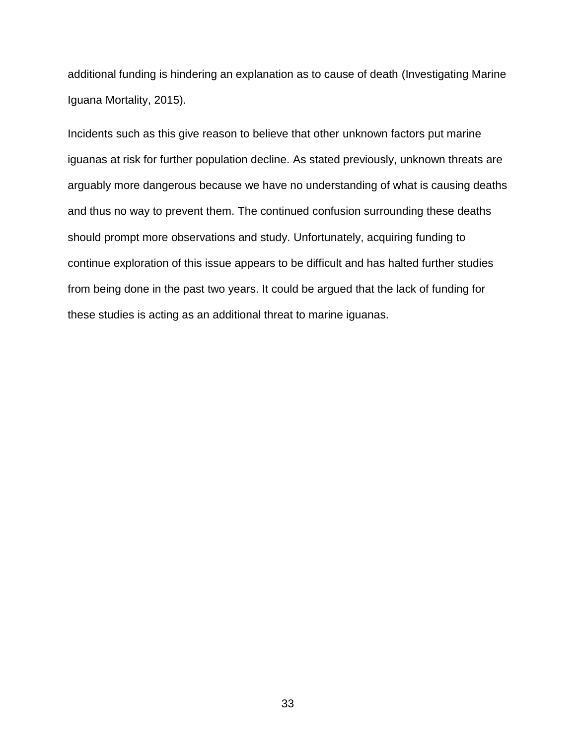additional funding is hindering an explanation as to cause of death (Investigating Marine Iguana Mortality, 2015).

 iguanas at risk for further population decline. As stated previously, unknown threats are continue exploration of this issue appears to be difficult and has halted further studies Incidents such as this give reason to believe that other unknown factors put marine arguably more dangerous because we have no understanding of what is causing deaths and thus no way to prevent them. The continued confusion surrounding these deaths should prompt more observations and study. Unfortunately, acquiring funding to from being done in the past two years. It could be argued that the lack of funding for these studies is acting as an additional threat to marine iguanas.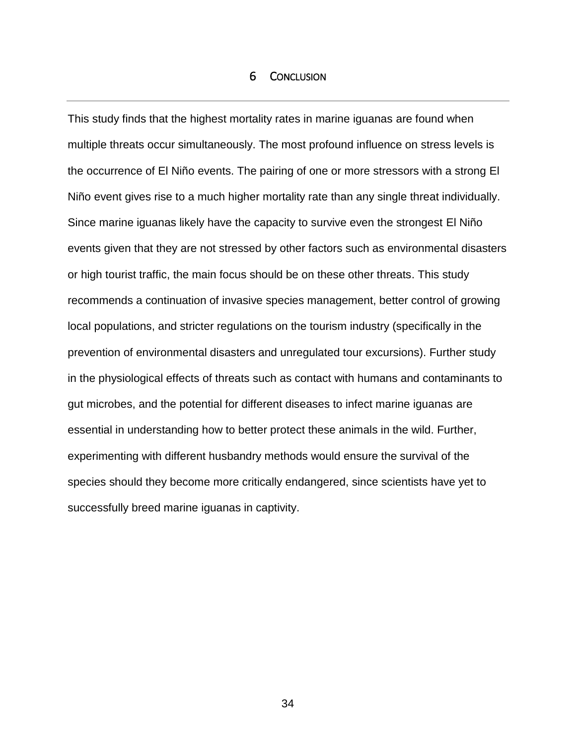## 6 CONCLUSION

<span id="page-40-0"></span> the occurrence of El Niño events. The pairing of one or more stressors with a strong El This study finds that the highest mortality rates in marine iguanas are found when multiple threats occur simultaneously. The most profound influence on stress levels is Niño event gives rise to a much higher mortality rate than any single threat individually. Since marine iguanas likely have the capacity to survive even the strongest El Niño events given that they are not stressed by other factors such as environmental disasters or high tourist traffic, the main focus should be on these other threats. This study recommends a continuation of invasive species management, better control of growing local populations, and stricter regulations on the tourism industry (specifically in the prevention of environmental disasters and unregulated tour excursions). Further study in the physiological effects of threats such as contact with humans and contaminants to gut microbes, and the potential for different diseases to infect marine iguanas are essential in understanding how to better protect these animals in the wild. Further, experimenting with different husbandry methods would ensure the survival of the species should they become more critically endangered, since scientists have yet to successfully breed marine iguanas in captivity.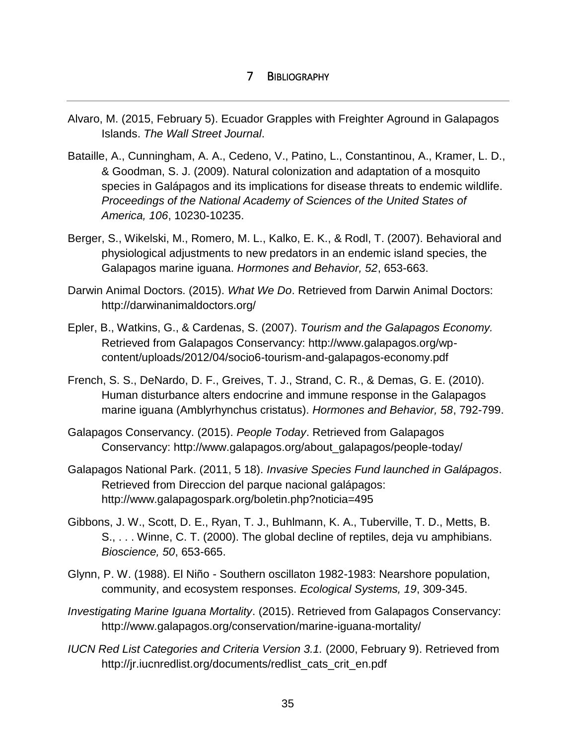## <span id="page-41-0"></span>7 BIBLIOGRAPHY

- Islands. *The Wall Street Journal*. Alvaro, M. (2015, February 5). Ecuador Grapples with Freighter Aground in Galapagos
- & Goodman, S. J. (2009). Natural colonization and adaptation of a mosquito Bataille, A., Cunningham, A. A., Cedeno, V., Patino, L., Constantinou, A., Kramer, L. D., species in Galápagos and its implications for disease threats to endemic wildlife. *Proceedings of the National Academy of Sciences of the United States of America, 106*, 10230-10235.
- Berger, S., Wikelski, M., Romero, M. L., Kalko, E. K., & Rodl, T. (2007). Behavioral and physiological adjustments to new predators in an endemic island species, the Galapagos marine iguana. *Hormones and Behavior, 52*, 653-663.
- Darwin Animal Doctors. (2015). *What We Do*. Retrieved from Darwin Animal Doctors: http://darwinanimaldoctors.org/
- Epler, B., Watkins, G., & Cardenas, S. (2007). *Tourism and the Galapagos Economy.*  Retrieved from Galapagos Conservancy: http://www.galapagos.org/wpcontent/uploads/2012/04/socio6-tourism-and-galapagos-economy.pdf
- French, S. S., DeNardo, D. F., Greives, T. J., Strand, C. R., & Demas, G. E. (2010). Human disturbance alters endocrine and immune response in the Galapagos marine iguana (Amblyrhynchus cristatus). *Hormones and Behavior, 58*, 792-799.
- Galapagos Conservancy. (2015). *People Today*. Retrieved from Galapagos Conservancy: http://www.galapagos.org/about\_galapagos/people-today/
- Galapagos National Park. (2011, 5 18). *Invasive Species Fund launched in Galápagos*. Retrieved from Direccion del parque nacional galápagos: http://www.galapagospark.org/boletin.php?noticia=495
- Gibbons, J. W., Scott, D. E., Ryan, T. J., Buhlmann, K. A., Tuberville, T. D., Metts, B. S., . . . Winne, C. T. (2000). The global decline of reptiles, deja vu amphibians. *Bioscience, 50*, 653-665.
- Glynn, P. W. (1988). El Niño Southern oscillaton 1982-1983: Nearshore population, community, and ecosystem responses. *Ecological Systems, 19*, 309-345.
- *Investigating Marine Iguana Mortality*. (2015). Retrieved from Galapagos Conservancy: http://www.galapagos.org/conservation/marine-iguana-mortality/
- *IUCN Red List Categories and Criteria Version 3.1.* (2000, February 9). Retrieved from http://jr.iucnredlist.org/documents/redlist\_cats\_crit\_en.pdf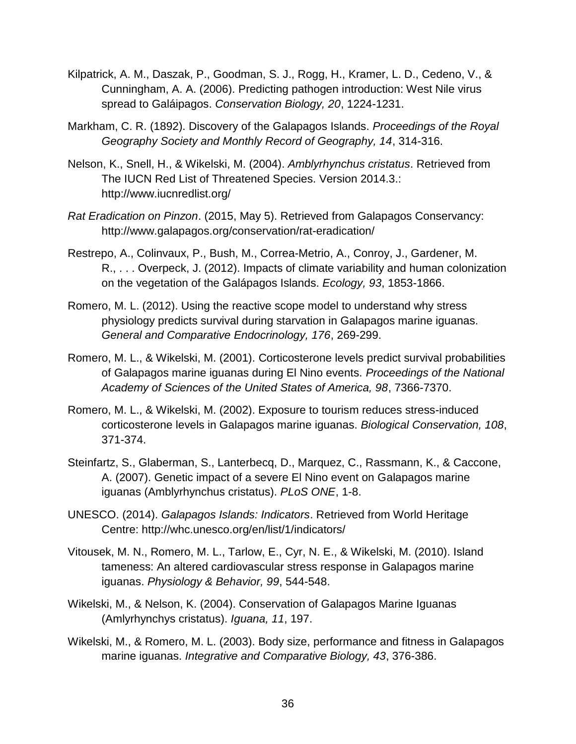- Kilpatrick, A. M., Daszak, P., Goodman, S. J., Rogg, H., Kramer, L. D., Cedeno, V., & Cunningham, A. A. (2006). Predicting pathogen introduction: West Nile virus spread to Galáipagos. *Conservation Biology, 20*, 1224-1231.
- Markham, C. R. (1892). Discovery of the Galapagos Islands. *Proceedings of the Royal Geography Society and Monthly Record of Geography, 14*, 314-316.
- Nelson, K., Snell, H., & Wikelski, M. (2004). *Amblyrhynchus cristatus*. Retrieved from The IUCN Red List of Threatened Species. Version 2014.3.: http://www.iucnredlist.org/
- *Rat Eradication on Pinzon*. (2015, May 5). Retrieved from Galapagos Conservancy: http://www.galapagos.org/conservation/rat-eradication/
- Restrepo, A., Colinvaux, P., Bush, M., Correa-Metrio, A., Conroy, J., Gardener, M. R., . . . Overpeck, J. (2012). Impacts of climate variability and human colonization on the vegetation of the Galápagos Islands. *Ecology, 93*, 1853-1866.
- Romero, M. L. (2012). Using the reactive scope model to understand why stress physiology predicts survival during starvation in Galapagos marine iguanas. *General and Comparative Endocrinology, 176*, 269-299.
- of Galapagos marine iguanas during El Nino events. *Proceedings of the National*  Romero, M. L., & Wikelski, M. (2001). Corticosterone levels predict survival probabilities *Academy of Sciences of the United States of America, 98*, 7366-7370.
- Romero, M. L., & Wikelski, M. (2002). Exposure to tourism reduces stress-induced corticosterone levels in Galapagos marine iguanas. *Biological Conservation, 108*, 371-374.
- Steinfartz, S., Glaberman, S., Lanterbecq, D., Marquez, C., Rassmann, K., & Caccone, A. (2007). Genetic impact of a severe El Nino event on Galapagos marine iguanas (Amblyrhynchus cristatus). *PLoS ONE*, 1-8.
- UNESCO. (2014). *Galapagos Islands: Indicators*. Retrieved from World Heritage Centre: http://whc.unesco.org/en/list/1/indicators/
- Vitousek, M. N., Romero, M. L., Tarlow, E., Cyr, N. E., & Wikelski, M. (2010). Island tameness: An altered cardiovascular stress response in Galapagos marine iguanas. *Physiology & Behavior, 99*, 544-548.
- Wikelski, M., & Nelson, K. (2004). Conservation of Galapagos Marine Iguanas (Amlyrhynchys cristatus). *Iguana, 11*, 197.
- Wikelski, M., & Romero, M. L. (2003). Body size, performance and fitness in Galapagos marine iguanas. *Integrative and Comparative Biology, 43*, 376-386.